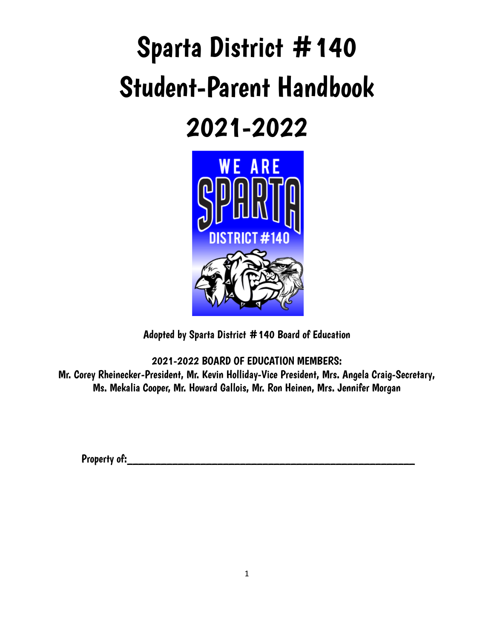# Sparta District #140 Student-Parent Handbook

## 2021-2022



Adopted by Sparta District #140 Board of Education

2021-2022 BOARD OF EDUCATION MEMBERS: Mr. Corey Rheinecker-President, Mr. Kevin Holliday-Vice President, Mrs. Angela Craig-Secretary, Ms. Mekalia Cooper, Mr. Howard Gallois, Mr. Ron Heinen, Mrs. Jennifer Morgan

Property of:\_\_\_\_\_\_\_\_\_\_\_\_\_\_\_\_\_\_\_\_\_\_\_\_\_\_\_\_\_\_\_\_\_\_\_\_\_\_\_\_\_\_\_\_\_\_\_\_\_\_\_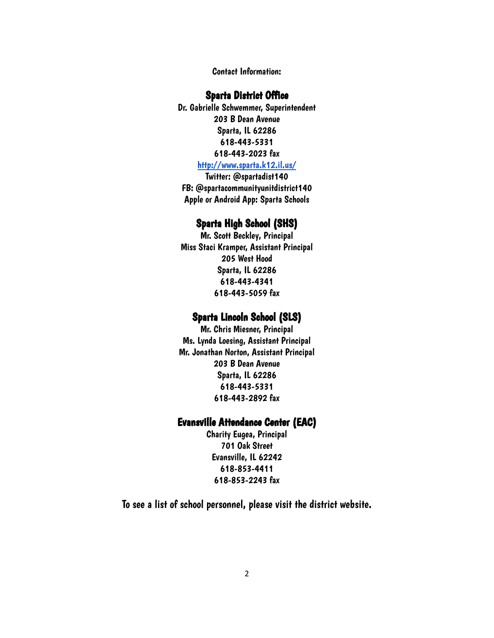Contact Information:

#### Sparta District Office

Dr. Gabrielle Schwemmer, Superintendent 203 B Dean Avenue Sparta, IL 62286 618-443-5331 618-443-2023 fax

#### <http://www.sparta.k12.il.us/>

Twitter: @spartadist140 FB: @spartacommunityunitdistrict140 Apple or Android App: Sparta Schools

#### Sparta High School (SHS)

Mr. Scott Beckley, Principal Miss Staci Kramper, Assistant Principal 205 West Hood Sparta, IL 62286 618-443-4341 618-443-5059 fax

#### Sparta Lincoln School (SLS)

Mr. Chris Miesner, Principal Ms. Lynda Loesing, Assistant Principal Mr. Jonathan Norton, Assistant Principal 203 B Dean Avenue Sparta, IL 62286 618-443-5331 618-443-2892 fax

#### Evansville Attendance Center (EAC)

Charity Eugea, Principal 701 Oak Street Evansville, IL 62242 618-853-4411 618-853-2243 fax

To see a list of school personnel, please visit the district website.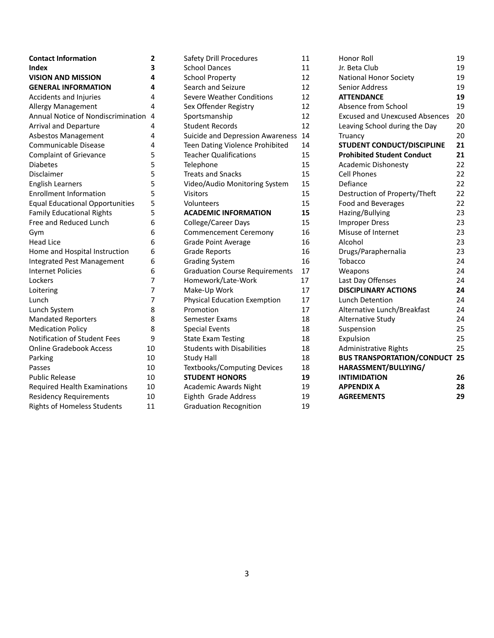| <b>Contact Information</b>             | 2  | Safety        |
|----------------------------------------|----|---------------|
| <b>Index</b>                           | 3  | Schoo         |
| <b>VISION AND MISSION</b>              | 4  | Schoo         |
| <b>GENERAL INFORMATION</b>             | 4  | Search        |
| Accidents and Injuries                 | 4  | Severe        |
| <b>Allergy Management</b>              | 4  | Sex Of        |
| Annual Notice of Nondiscrimination     | 4  | Sports        |
| Arrival and Departure                  | 4  | Stude         |
| <b>Asbestos Management</b>             | 4  | Suicid        |
| Communicable Disease                   | 4  | Teen D        |
| <b>Complaint of Grievance</b>          | 5  | <b>Teach</b>  |
| <b>Diabetes</b>                        | 5  | Teleph        |
| Disclaimer                             | 5  | <b>Treats</b> |
| <b>English Learners</b>                | 5  | Video,        |
| <b>Enrollment Information</b>          | 5  | Visitor       |
| <b>Equal Educational Opportunities</b> | 5  | Volunt        |
| <b>Family Educational Rights</b>       | 5  | <b>ACAD</b>   |
| Free and Reduced Lunch                 | 6  | Colleg        |
| Gym                                    | 6  | Comm          |
| <b>Head Lice</b>                       | 6  | Grade         |
| Home and Hospital Instruction          | 6  | Grade         |
| <b>Integrated Pest Management</b>      | 6  | Gradir        |
| <b>Internet Policies</b>               | 6  | Gradu         |
| Lockers                                | 7  | Home          |
| Loitering                              | 7  | Make-         |
| Lunch                                  | 7  | Physic        |
| Lunch System                           | 8  | Promo         |
| <b>Mandated Reporters</b>              | 8  | <b>Semes</b>  |
| <b>Medication Policy</b>               | 8  | Specia        |
| <b>Notification of Student Fees</b>    | 9  | State I       |
| <b>Online Gradebook Access</b>         | 10 | Stude         |
| Parking                                | 10 | Study         |
| Passes                                 | 10 | Textbo        |
| <b>Public Release</b>                  | 10 | <b>STUDI</b>  |
| <b>Required Health Examinations</b>    | 10 | Acade         |
| <b>Residency Requirements</b>          | 10 | Eighth        |
| <b>Rights of Homeless Students</b>     | 11 | Gradu         |

| Safety Drill Procedures                 | 11 |
|-----------------------------------------|----|
| <b>School Dances</b>                    | 11 |
| <b>School Property</b>                  | 12 |
| Search and Seizure                      | 12 |
| <b>Severe Weather Conditions</b>        | 12 |
| Sex Offender Registry                   | 12 |
| Sportsmanship                           | 12 |
| <b>Student Records</b>                  | 12 |
| <b>Suicide and Depression Awareness</b> | 14 |
| Teen Dating Violence Prohibited         | 14 |
| <b>Teacher Qualifications</b>           | 15 |
| Telephone                               | 15 |
| <b>Treats and Snacks</b>                | 15 |
| Video/Audio Monitoring System           | 15 |
| Visitors                                | 15 |
| Volunteers                              | 15 |
| <b>ACADEMIC INFORMATION</b>             | 15 |
| College/Career Days                     | 15 |
| <b>Commencement Ceremony</b>            | 16 |
| <b>Grade Point Average</b>              | 16 |
| <b>Grade Reports</b>                    | 16 |
| <b>Grading System</b>                   | 16 |
| <b>Graduation Course Requirements</b>   | 17 |
| Homework/Late-Work                      | 17 |
| Make-Up Work                            | 17 |
| <b>Physical Education Exemption</b>     | 17 |
| Promotion                               | 17 |
| Semester Exams                          | 18 |
| <b>Special Events</b>                   | 18 |
| <b>State Exam Testing</b>               | 18 |
| <b>Students with Disabilities</b>       | 18 |
| <b>Study Hall</b>                       | 18 |
| <b>Textbooks/Computing Devices</b>      | 18 |
| <b>STUDENT HONORS</b>                   | 19 |
| <b>Academic Awards Night</b>            | 19 |
| Eighth Grade Address                    | 19 |
| <b>Graduation Recognition</b>           | 19 |

| Honor Roll                            | 19 |
|---------------------------------------|----|
| Jr. Beta Club                         | 19 |
| National Honor Society                | 19 |
| <b>Senior Address</b>                 | 19 |
| <b>ATTENDANCE</b>                     | 19 |
| Absence from School                   | 19 |
| <b>Excused and Unexcused Absences</b> | 20 |
| Leaving School during the Day         | 20 |
| Truancy                               | 20 |
| STUDENT CONDUCT/DISCIPLINE            | 21 |
| <b>Prohibited Student Conduct</b>     | 21 |
| <b>Academic Dishonesty</b>            | 22 |
| <b>Cell Phones</b>                    | 22 |
| Defiance                              | 22 |
| Destruction of Property/Theft         | 22 |
| <b>Food and Beverages</b>             | 22 |
| Hazing/Bullying                       | 23 |
| <b>Improper Dress</b>                 | 23 |
| Misuse of Internet                    | 23 |
| Alcohol                               | 23 |
| Drugs/Paraphernalia                   | 23 |
| Tobacco                               | 24 |
| Weapons                               | 24 |
| Last Day Offenses                     | 24 |
| <b>DISCIPLINARY ACTIONS</b>           | 24 |
| <b>Lunch Detention</b>                | 24 |
| Alternative Lunch/Breakfast           | 24 |
| Alternative Study                     | 24 |
| Suspension                            | 25 |
| Expulsion                             | 25 |
| Administrative Rights                 | 25 |
| <b>BUS TRANSPORTATION/CONDUCT</b>     | 25 |
| HARASSMENT/BULLYING/                  |    |
| <b>INTIMIDATION</b>                   | 26 |
| <b>APPENDIX A</b>                     | 28 |
| <b>AGREEMENTS</b>                     | 29 |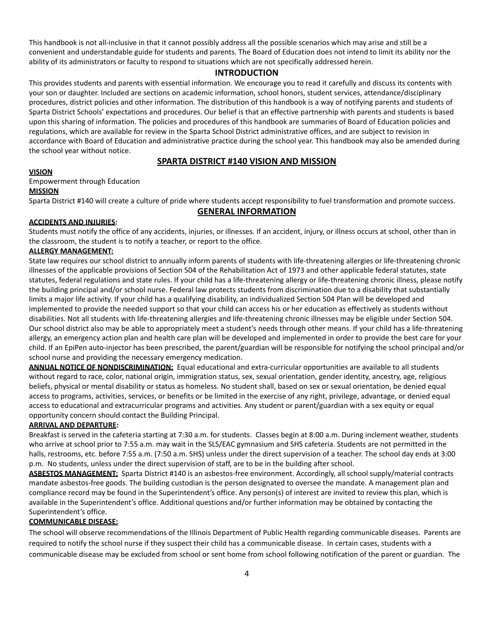This handbook is not all-inclusive in that it cannot possibly address all the possible scenarios which may arise and still be a convenient and understandable guide for students and parents. The Board of Education does not intend to limit its ability nor the ability of its administrators or faculty to respond to situations which are not specifically addressed herein.

#### **INTRODUCTION**

This provides students and parents with essential information. We encourage you to read it carefully and discuss its contents with your son or daughter. Included are sections on academic information, school honors, student services, attendance/disciplinary procedures, district policies and other information. The distribution of this handbook is a way of notifying parents and students of Sparta District Schools' expectations and procedures. Our belief is that an effective partnership with parents and students is based upon this sharing of information. The policies and procedures of this handbook are summaries of Board of Education policies and regulations, which are available for review in the Sparta School District administrative offices, and are subject to revision in accordance with Board of Education and administrative practice during the school year. This handbook may also be amended during the school year without notice.

#### **SPARTA DISTRICT #140 VISION AND MISSION**

#### **VISION**

Empowerment through Education

#### **MISSION**

Sparta District #140 will create a culture of pride where students accept responsibility to fuel transformation and promote success.

#### **GENERAL INFORMATION**

#### **ACCIDENTS AND INJURIES:**

Students must notify the office of any accidents, injuries, or illnesses. If an accident, injury, or illness occurs at school, other than in the classroom, the student is to notify a teacher, or report to the office.

#### **ALLERGY MANAGEMENT:**

State law requires our school district to annually inform parents of students with life-threatening allergies or life-threatening chronic illnesses of the applicable provisions of Section 504 of the Rehabilitation Act of 1973 and other applicable federal statutes, state statutes, federal regulations and state rules. If your child has a life-threatening allergy or life-threatening chronic illness, please notify the building principal and/or school nurse. Federal law protects students from discrimination due to a disability that substantially limits a major life activity. If your child has a qualifying disability, an individualized Section 504 Plan will be developed and implemented to provide the needed support so that your child can access his or her education as effectively as students without disabilities. Not all students with life-threatening allergies and life-threatening chronic illnesses may be eligible under Section 504. Our school district also may be able to appropriately meet a student's needs through other means. If your child has a life-threatening allergy, an emergency action plan and health care plan will be developed and implemented in order to provide the best care for your child. If an EpiPen auto-injector has been prescribed, the parent/guardian will be responsible for notifying the school principal and/or school nurse and providing the necessary emergency medication.

**ANNUAL NOTICE OF NONDISCRIMINATION:** Equal educational and extra-curricular opportunities are available to all students without regard to race, color, national origin, immigration status, sex, sexual orientation, gender identity, ancestry, age, religious beliefs, physical or mental disability or status as homeless. No student shall, based on sex or sexual orientation, be denied equal access to programs, activities, services, or benefits or be limited in the exercise of any right, privilege, advantage, or denied equal access to educational and extracurricular programs and activities. Any student or parent/guardian with a sex equity or equal opportunity concern should contact the Building Principal.

#### **ARRIVAL AND DEPARTURE:**

Breakfast is served in the cafeteria starting at 7:30 a.m. for students. Classes begin at 8:00 a.m. During inclement weather, students who arrive at school prior to 7:55 a.m. may wait in the SLS/EAC gymnasium and SHS cafeteria. Students are not permitted in the halls, restrooms, etc. before 7:55 a.m. (7:50 a.m. SHS) unless under the direct supervision of a teacher. The school day ends at 3:00 p.m. No students, unless under the direct supervision of staff, are to be in the building after school.

**ASBESTOS MANAGEMENT:** Sparta District #140 is an asbestos-free environment. Accordingly, all school supply/material contracts mandate asbestos-free goods. The building custodian is the person designated to oversee the mandate. A management plan and compliance record may be found in the Superintendent's office. Any person(s) of interest are invited to review this plan, which is available in the Superintendent's office. Additional questions and/or further information may be obtained by contacting the Superintendent's office.

#### **COMMUNICABLE DISEASE:**

The school will observe recommendations of the Illinois Department of Public Health regarding communicable diseases. Parents are required to notify the school nurse if they suspect their child has a communicable disease. In certain cases, students with a communicable disease may be excluded from school or sent home from school following notification of the parent or guardian. The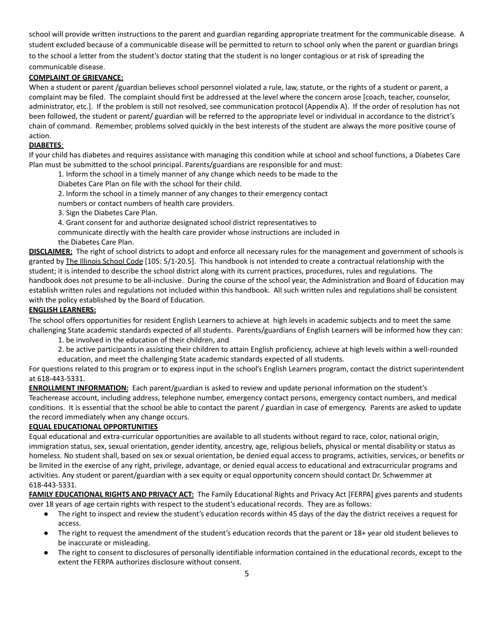school will provide written instructions to the parent and guardian regarding appropriate treatment for the communicable disease. A student excluded because of a communicable disease will be permitted to return to school only when the parent or guardian brings to the school a letter from the student's doctor stating that the student is no longer contagious or at risk of spreading the communicable disease.

#### **COMPLAINT OF GRIEVANCE:**

When a student or parent /guardian believes school personnel violated a rule, law, statute, or the rights of a student or parent, a complaint may be filed. The complaint should first be addressed at the level where the concern arose [coach, teacher, counselor, administrator, etc.]. If the problem is still not resolved, see communication protocol (Appendix A). If the order of resolution has not been followed, the student or parent/ guardian will be referred to the appropriate level or individual in accordance to the district's chain of command. Remember, problems solved quickly in the best interests of the student are always the more positive course of action.

#### **DIABETES**:

If your child has diabetes and requires assistance with managing this condition while at school and school functions, a Diabetes Care Plan must be submitted to the school principal. Parents/guardians are responsible for and must:

- 1. Inform the school in a timely manner of any change which needs to be made to the
- Diabetes Care Plan on file with the school for their child.
- 2. Inform the school in a timely manner of any changes to their emergency contact

numbers or contact numbers of health care providers.

- 3. Sign the Diabetes Care Plan.
- 4. Grant consent for and authorize designated school district representatives to
- communicate directly with the health care provider whose instructions are included in
- the Diabetes Care Plan.

**DISCLAIMER:** The right of school districts to adopt and enforce all necessary rules for the management and government of schools is granted by The Illinois School Code [105: 5/1-20.5]. This handbook is not intended to create a contractual relationship with the student; it is intended to describe the school district along with its current practices, procedures, rules and regulations. The handbook does not presume to be all-inclusive. During the course of the school year, the Administration and Board of Education may establish written rules and regulations not included within this handbook. All such written rules and regulations shall be consistent with the policy established by the Board of Education.

#### **ENGLISH LEARNERS:**

The school offers opportunities for resident English Learners to achieve at high levels in academic subjects and to meet the same challenging State academic standards expected of all students. Parents/guardians of English Learners will be informed how they can:

- 1. be involved in the education of their children, and
- 2. be active participants in assisting their children to attain English proficiency, achieve at high levels within a well-rounded
- education, and meet the challenging State academic standards expected of all students.

For questions related to this program or to express input in the school's English Learners program, contact the district superintendent at 618-443-5331.

**ENROLLMENT INFORMATION:** Each parent/guardian is asked to review and update personal information on the student's Teacherease account, including address, telephone number, emergency contact persons, emergency contact numbers, and medical conditions. It is essential that the school be able to contact the parent / guardian in case of emergency. Parents are asked to update the record immediately when any change occurs.

#### **EQUAL EDUCATIONAL OPPORTUNITIES**

Equal educational and extra-curricular opportunities are available to all students without regard to race, color, national origin, immigration status, sex, sexual orientation, gender identity, ancestry, age, religious beliefs, physical or mental disability or status as homeless. No student shall, based on sex or sexual orientation, be denied equal access to programs, activities, services, or benefits or be limited in the exercise of any right, privilege, advantage, or denied equal access to educational and extracurricular programs and activities. Any student or parent/guardian with a sex equity or equal opportunity concern should contact Dr. Schwemmer at 618-443-5331.

**FAMILY EDUCATIONAL RIGHTS AND PRIVACY ACT:** The Family Educational Rights and Privacy Act [FERPA] gives parents and students over 18 years of age certain rights with respect to the student's educational records. They are as follows:

- The right to inspect and review the student's education records within 45 days of the day the district receives a request for access.
- The right to request the amendment of the student's education records that the parent or 18+ year old student believes to be inaccurate or misleading.
- The right to consent to disclosures of personally identifiable information contained in the educational records, except to the extent the FERPA authorizes disclosure without consent.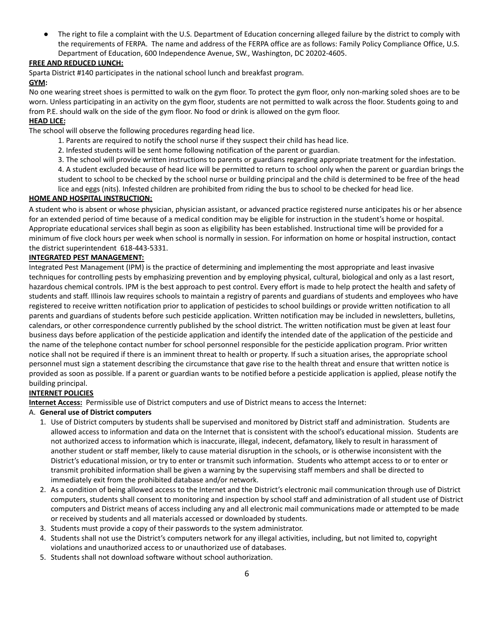The right to file a complaint with the U.S. Department of Education concerning alleged failure by the district to comply with the requirements of FERPA. The name and address of the FERPA office are as follows: Family Policy Compliance Office, U.S. Department of Education, 600 Independence Avenue, SW., Washington, DC 20202-4605.

#### **FREE AND REDUCED LUNCH:**

Sparta District #140 participates in the national school lunch and breakfast program.

#### **GYM:**

No one wearing street shoes is permitted to walk on the gym floor. To protect the gym floor, only non-marking soled shoes are to be worn. Unless participating in an activity on the gym floor, students are not permitted to walk across the floor. Students going to and from P.E. should walk on the side of the gym floor. No food or drink is allowed on the gym floor.

#### **HEAD LICE:**

The school will observe the following procedures regarding head lice.

- 1. Parents are required to notify the school nurse if they suspect their child has head lice.
- 2. Infested students will be sent home following notification of the parent or guardian.
- 3. The school will provide written instructions to parents or guardians regarding appropriate treatment for the infestation.
- 4. A student excluded because of head lice will be permitted to return to school only when the parent or guardian brings the student to school to be checked by the school nurse or building principal and the child is determined to be free of the head lice and eggs (nits). Infested children are prohibited from riding the bus to school to be checked for head lice.

#### **HOME AND HOSPITAL INSTRUCTION:**

A student who is absent or whose physician, physician assistant, or advanced practice registered nurse anticipates his or her absence for an extended period of time because of a medical condition may be eligible for instruction in the student's home or hospital. Appropriate educational services shall begin as soon as eligibility has been established. Instructional time will be provided for a minimum of five clock hours per week when school is normally in session. For information on home or hospital instruction, contact the district superintendent 618-443-5331.

#### **INTEGRATED PEST MANAGEMENT:**

Integrated Pest Management (IPM) is the practice of determining and implementing the most appropriate and least invasive techniques for controlling pests by emphasizing prevention and by employing physical, cultural, biological and only as a last resort, hazardous chemical controls. IPM is the best approach to pest control. Every effort is made to help protect the health and safety of students and staff. Illinois law requires schools to maintain a registry of parents and guardians of students and employees who have registered to receive written notification prior to application of pesticides to school buildings or provide written notification to all parents and guardians of students before such pesticide application. Written notification may be included in newsletters, bulletins, calendars, or other correspondence currently published by the school district. The written notification must be given at least four business days before application of the pesticide application and identify the intended date of the application of the pesticide and the name of the telephone contact number for school personnel responsible for the pesticide application program. Prior written notice shall not be required if there is an imminent threat to health or property. If such a situation arises, the appropriate school personnel must sign a statement describing the circumstance that gave rise to the health threat and ensure that written notice is provided as soon as possible. If a parent or guardian wants to be notified before a pesticide application is applied, please notify the building principal.

#### **INTERNET POLICIES**

**Internet Access:** Permissible use of District computers and use of District means to access the Internet:

#### A. **General use of District computers**

- 1. Use of District computers by students shall be supervised and monitored by District staff and administration. Students are allowed access to information and data on the Internet that is consistent with the school's educational mission. Students are not authorized access to information which is inaccurate, illegal, indecent, defamatory, likely to result in harassment of another student or staff member, likely to cause material disruption in the schools, or is otherwise inconsistent with the District's educational mission, or try to enter or transmit such information. Students who attempt access to or to enter or transmit prohibited information shall be given a warning by the supervising staff members and shall be directed to immediately exit from the prohibited database and/or network.
- 2. As a condition of being allowed access to the Internet and the District's electronic mail communication through use of District computers, students shall consent to monitoring and inspection by school staff and administration of all student use of District computers and District means of access including any and all electronic mail communications made or attempted to be made or received by students and all materials accessed or downloaded by students.
- 3. Students must provide a copy of their passwords to the system administrator.
- 4. Students shall not use the District's computers network for any illegal activities, including, but not limited to, copyright violations and unauthorized access to or unauthorized use of databases.
- 5. Students shall not download software without school authorization.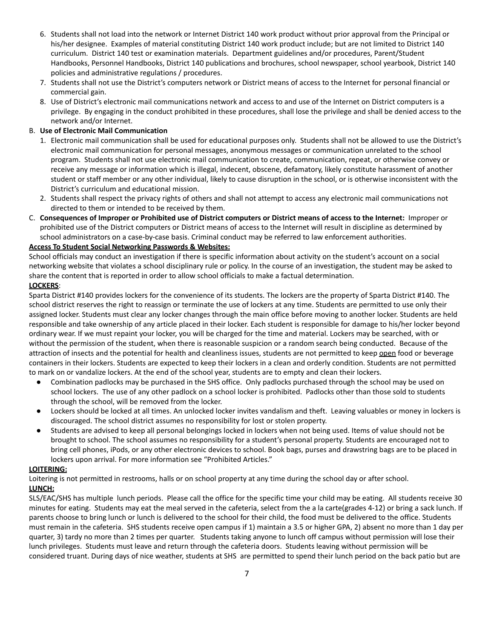- 6. Students shall not load into the network or Internet District 140 work product without prior approval from the Principal or his/her designee. Examples of material constituting District 140 work product include; but are not limited to District 140 curriculum. District 140 test or examination materials. Department guidelines and/or procedures, Parent/Student Handbooks, Personnel Handbooks, District 140 publications and brochures, school newspaper, school yearbook, District 140 policies and administrative regulations / procedures.
- 7. Students shall not use the District's computers network or District means of access to the Internet for personal financial or commercial gain.
- 8. Use of District's electronic mail communications network and access to and use of the Internet on District computers is a privilege. By engaging in the conduct prohibited in these procedures, shall lose the privilege and shall be denied access to the network and/or Internet.

#### B. **Use of Electronic Mail Communication**

- 1. Electronic mail communication shall be used for educational purposes only. Students shall not be allowed to use the District's electronic mail communication for personal messages, anonymous messages or communication unrelated to the school program. Students shall not use electronic mail communication to create, communication, repeat, or otherwise convey or receive any message or information which is illegal, indecent, obscene, defamatory, likely constitute harassment of another student or staff member or any other individual, likely to cause disruption in the school, or is otherwise inconsistent with the District's curriculum and educational mission.
- 2. Students shall respect the privacy rights of others and shall not attempt to access any electronic mail communications not directed to them or intended to be received by them.
- C. Consequences of Improper or Prohibited use of District computers or District means of access to the Internet: Improper or prohibited use of the District computers or District means of access to the Internet will result in discipline as determined by school administrators on a case-by-case basis. Criminal conduct may be referred to law enforcement authorities.

#### **Access To Student Social Networking Passwords & Websites:**

School officials may conduct an investigation if there is specific information about activity on the student's account on a social networking website that violates a school disciplinary rule or policy. In the course of an investigation, the student may be asked to share the content that is reported in order to allow school officials to make a factual determination.

#### **LOCKERS**:

Sparta District #140 provides lockers for the convenience of its students. The lockers are the property of Sparta District #140. The school district reserves the right to reassign or terminate the use of lockers at any time. Students are permitted to use only their assigned locker. Students must clear any locker changes through the main office before moving to another locker. Students are held responsible and take ownership of any article placed in their locker. Each student is responsible for damage to his/her locker beyond ordinary wear. If we must repaint your locker, you will be charged for the time and material. Lockers may be searched, with or without the permission of the student, when there is reasonable suspicion or a random search being conducted. Because of the attraction of insects and the potential for health and cleanliness issues, students are not permitted to keep open food or beverage containers in their lockers. Students are expected to keep their lockers in a clean and orderly condition. Students are not permitted to mark on or vandalize lockers. At the end of the school year, students are to empty and clean their lockers.

- Combination padlocks may be purchased in the SHS office. Only padlocks purchased through the school may be used on school lockers. The use of any other padlock on a school locker is prohibited. Padlocks other than those sold to students through the school, will be removed from the locker.
- Lockers should be locked at all times. An unlocked locker invites vandalism and theft. Leaving valuables or money in lockers is discouraged. The school district assumes no responsibility for lost or stolen property.
- Students are advised to keep all personal belongings locked in lockers when not being used. Items of value should not be brought to school. The school assumes no responsibility for a student's personal property. Students are encouraged not to bring cell phones, iPods, or any other electronic devices to school. Book bags, purses and drawstring bags are to be placed in lockers upon arrival. For more information see "Prohibited Articles."

#### **LOITERING:**

Loitering is not permitted in restrooms, halls or on school property at any time during the school day or after school. **LUNCH:**

SLS/EAC/SHS has multiple lunch periods. Please call the office for the specific time your child may be eating. All students receive 30 minutes for eating. Students may eat the meal served in the cafeteria, select from the a la carte(grades 4-12) or bring a sack lunch. If parents choose to bring lunch or lunch is delivered to the school for their child, the food must be delivered to the office. Students must remain in the cafeteria. SHS students receive open campus if 1) maintain a 3.5 or higher GPA, 2) absent no more than 1 day per quarter, 3) tardy no more than 2 times per quarter. Students taking anyone to lunch off campus without permission will lose their lunch privileges. Students must leave and return through the cafeteria doors. Students leaving without permission will be considered truant. During days of nice weather, students at SHS are permitted to spend their lunch period on the back patio but are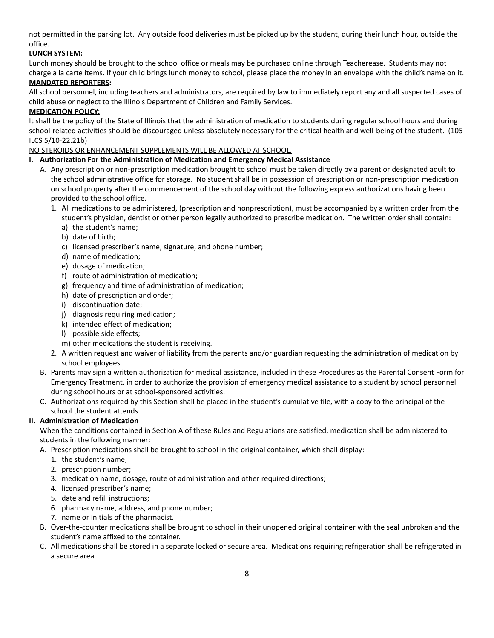not permitted in the parking lot. Any outside food deliveries must be picked up by the student, during their lunch hour, outside the office.

#### **LUNCH SYSTEM:**

Lunch money should be brought to the school office or meals may be purchased online through Teacherease. Students may not charge a la carte items. If your child brings lunch money to school, please place the money in an envelope with the child's name on it.

#### **MANDATED REPORTERS:**

All school personnel, including teachers and administrators, are required by law to immediately report any and all suspected cases of child abuse or neglect to the Illinois Department of Children and Family Services.

#### **MEDICATION POLICY:**

It shall be the policy of the State of Illinois that the administration of medication to students during regular school hours and during school-related activities should be discouraged unless absolutely necessary for the critical health and well-being of the student. (105 ILCS 5/10-22.21b)

NO STEROIDS OR ENHANCEMENT SUPPLEMENTS WILL BE ALLOWED AT SCHOOL.

#### **I. Authorization For the Administration of Medication and Emergency Medical Assistance**

- A. Any prescription or non-prescription medication brought to school must be taken directly by a parent or designated adult to the school administrative office for storage. No student shall be in possession of prescription or non-prescription medication on school property after the commencement of the school day without the following express authorizations having been provided to the school office.
	- 1. All medications to be administered, (prescription and nonprescription), must be accompanied by a written order from the student's physician, dentist or other person legally authorized to prescribe medication. The written order shall contain:
		- a) the student's name;
		- b) date of birth;
		- c) licensed prescriber's name, signature, and phone number;
		- d) name of medication;
		- e) dosage of medication;
		- f) route of administration of medication;
		- g) frequency and time of administration of medication;
		- h) date of prescription and order;
		- i) discontinuation date;
		- j) diagnosis requiring medication;
		- k) intended effect of medication;
		- l) possible side effects;
		- m) other medications the student is receiving.
	- 2. A written request and waiver of liability from the parents and/or guardian requesting the administration of medication by school employees.
- B. Parents may sign a written authorization for medical assistance, included in these Procedures as the Parental Consent Form for Emergency Treatment, in order to authorize the provision of emergency medical assistance to a student by school personnel during school hours or at school-sponsored activities.
- C. Authorizations required by this Section shall be placed in the student's cumulative file, with a copy to the principal of the school the student attends.

#### **II. Administration of Medication**

When the conditions contained in Section A of these Rules and Regulations are satisfied, medication shall be administered to students in the following manner:

- A. Prescription medications shall be brought to school in the original container, which shall display:
	- 1. the student's name;
	- 2. prescription number;
	- 3. medication name, dosage, route of administration and other required directions;
	- 4. licensed prescriber's name;
	- 5. date and refill instructions;
	- 6. pharmacy name, address, and phone number;
	- 7. name or initials of the pharmacist.
- B. Over-the-counter medications shall be brought to school in their unopened original container with the seal unbroken and the student's name affixed to the container.
- C. All medications shall be stored in a separate locked or secure area. Medications requiring refrigeration shall be refrigerated in a secure area.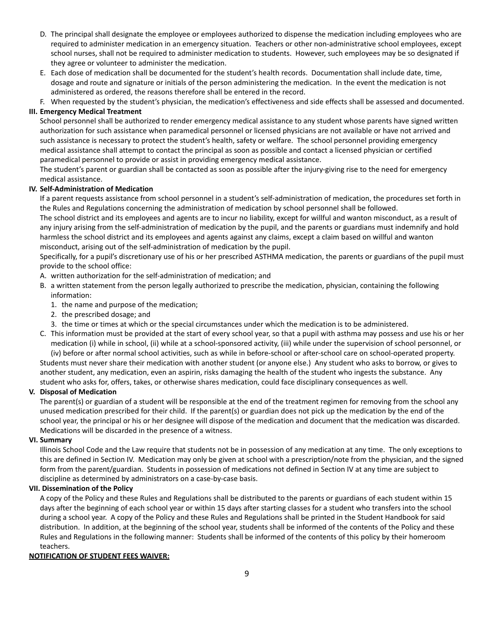- D. The principal shall designate the employee or employees authorized to dispense the medication including employees who are required to administer medication in an emergency situation. Teachers or other non-administrative school employees, except school nurses, shall not be required to administer medication to students. However, such employees may be so designated if they agree or volunteer to administer the medication.
- E. Each dose of medication shall be documented for the student's health records. Documentation shall include date, time, dosage and route and signature or initials of the person administering the medication. In the event the medication is not administered as ordered, the reasons therefore shall be entered in the record.

F. When requested by the student's physician, the medication's effectiveness and side effects shall be assessed and documented. **III. Emergency Medical Treatment**

School personnel shall be authorized to render emergency medical assistance to any student whose parents have signed written authorization for such assistance when paramedical personnel or licensed physicians are not available or have not arrived and such assistance is necessary to protect the student's health, safety or welfare. The school personnel providing emergency medical assistance shall attempt to contact the principal as soon as possible and contact a licensed physician or certified paramedical personnel to provide or assist in providing emergency medical assistance.

The student's parent or guardian shall be contacted as soon as possible after the injury-giving rise to the need for emergency medical assistance.

#### **IV. Self-Administration of Medication**

If a parent requests assistance from school personnel in a student's self-administration of medication, the procedures set forth in the Rules and Regulations concerning the administration of medication by school personnel shall be followed.

The school district and its employees and agents are to incur no liability, except for willful and wanton misconduct, as a result of any injury arising from the self-administration of medication by the pupil, and the parents or guardians must indemnify and hold harmless the school district and its employees and agents against any claims, except a claim based on willful and wanton misconduct, arising out of the self-administration of medication by the pupil.

Specifically, for a pupil's discretionary use of his or her prescribed ASTHMA medication, the parents or guardians of the pupil must provide to the school office:

A. written authorization for the self-administration of medication; and

- B. a written statement from the person legally authorized to prescribe the medication, physician, containing the following information:
	- 1. the name and purpose of the medication;
	- 2. the prescribed dosage; and
	- 3. the time or times at which or the special circumstances under which the medication is to be administered.
- C. This information must be provided at the start of every school year, so that a pupil with asthma may possess and use his or her medication (i) while in school, (ii) while at a school-sponsored activity, (iii) while under the supervision of school personnel, or (iv) before or after normal school activities, such as while in before-school or after-school care on school-operated property.

Students must never share their medication with another student (or anyone else.) Any student who asks to borrow, or gives to another student, any medication, even an aspirin, risks damaging the health of the student who ingests the substance. Any student who asks for, offers, takes, or otherwise shares medication, could face disciplinary consequences as well.

#### **V. Disposal of Medication**

The parent(s) or guardian of a student will be responsible at the end of the treatment regimen for removing from the school any unused medication prescribed for their child. If the parent(s) or guardian does not pick up the medication by the end of the school year, the principal or his or her designee will dispose of the medication and document that the medication was discarded. Medications will be discarded in the presence of a witness.

#### **VI. Summary**

Illinois School Code and the Law require that students not be in possession of any medication at any time. The only exceptions to this are defined in Section IV. Medication may only be given at school with a prescription/note from the physician, and the signed form from the parent/guardian. Students in possession of medications not defined in Section IV at any time are subject to discipline as determined by administrators on a case-by-case basis.

#### **VII. Dissemination of the Policy**

A copy of the Policy and these Rules and Regulations shall be distributed to the parents or guardians of each student within 15 days after the beginning of each school year or within 15 days after starting classes for a student who transfers into the school during a school year. A copy of the Policy and these Rules and Regulations shall be printed in the Student Handbook for said distribution. In addition, at the beginning of the school year, students shall be informed of the contents of the Policy and these Rules and Regulations in the following manner: Students shall be informed of the contents of this policy by their homeroom teachers.

#### **NOTIFICATION OF STUDENT FEES WAIVER:**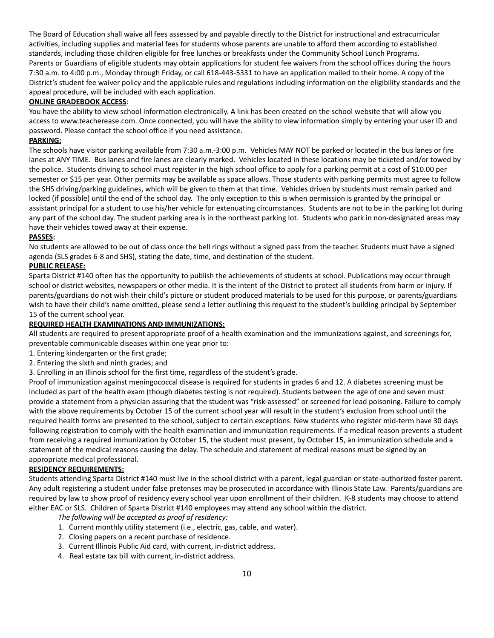The Board of Education shall waive all fees assessed by and payable directly to the District for instructional and extracurricular activities, including supplies and material fees for students whose parents are unable to afford them according to established standards, including those children eligible for free lunches or breakfasts under the Community School Lunch Programs. Parents or Guardians of eligible students may obtain applications for student fee waivers from the school offices during the hours 7:30 a.m. to 4:00 p.m., Monday through Friday, or call 618-443-5331 to have an application mailed to their home. A copy of the District's student fee waiver policy and the applicable rules and regulations including information on the eligibility standards and the appeal procedure, will be included with each application.

#### **ONLINE GRADEBOOK ACCESS**:

You have the ability to view school information electronically. A link has been created on the school website that will allow you access to www.teacherease.com. Once connected, you will have the ability to view information simply by entering your user ID and password. Please contact the school office if you need assistance.

#### **PARKING:**

The schools have visitor parking available from 7:30 a.m.-3:00 p.m. Vehicles MAY NOT be parked or located in the bus lanes or fire lanes at ANY TIME. Bus lanes and fire lanes are clearly marked. Vehicles located in these locations may be ticketed and/or towed by the police. Students driving to school must register in the high school office to apply for a parking permit at a cost of \$10.00 per semester or \$15 per year. Other permits may be available as space allows. Those students with parking permits must agree to follow the SHS driving/parking guidelines, which will be given to them at that time. Vehicles driven by students must remain parked and locked (if possible) until the end of the school day. The only exception to this is when permission is granted by the principal or assistant principal for a student to use his/her vehicle for extenuating circumstances. Students are not to be in the parking lot during any part of the school day. The student parking area is in the northeast parking lot. Students who park in non-designated areas may have their vehicles towed away at their expense.

#### **PASSES:**

No students are allowed to be out of class once the bell rings without a signed pass from the teacher. Students must have a signed agenda (SLS grades 6-8 and SHS), stating the date, time, and destination of the student.

#### **PUBLIC RELEASE:**

Sparta District #140 often has the opportunity to publish the achievements of students at school. Publications may occur through school or district websites, newspapers or other media. It is the intent of the District to protect all students from harm or injury. If parents/guardians do not wish their child's picture or student produced materials to be used for this purpose, or parents/guardians wish to have their child's name omitted, please send a letter outlining this request to the student's building principal by September 15 of the current school year.

#### **REQUIRED HEALTH EXAMINATIONS AND IMMUNIZATIONS:**

All students are required to present appropriate proof of a health examination and the immunizations against, and screenings for, preventable communicable diseases within one year prior to:

- 1. Entering kindergarten or the first grade;
- 2. Entering the sixth and ninth grades; and
- 3. Enrolling in an Illinois school for the first time, regardless of the student's grade.

Proof of immunization against meningococcal disease is required for students in grades 6 and 12. A diabetes screening must be included as part of the health exam (though diabetes testing is not required). Students between the age of one and seven must provide a statement from a physician assuring that the student was "risk-assessed" or screened for lead poisoning. Failure to comply with the above requirements by October 15 of the current school year will result in the student's exclusion from school until the required health forms are presented to the school, subject to certain exceptions. New students who register mid-term have 30 days following registration to comply with the health examination and immunization requirements. If a medical reason prevents a student from receiving a required immunization by October 15, the student must present, by October 15, an immunization schedule and a statement of the medical reasons causing the delay. The schedule and statement of medical reasons must be signed by an appropriate medical professional.

#### **RESIDENCY REQUIREMENTS:**

Students attending Sparta District #140 must live in the school district with a parent, legal guardian or state-authorized foster parent. Any adult registering a student under false pretenses may be prosecuted in accordance with Illinois State Law. Parents/guardians are required by law to show proof of residency every school year upon enrollment of their children. K-8 students may choose to attend either EAC or SLS. Children of Sparta District #140 employees may attend any school within the district.

*The following will be accepted as proof of residency:*

- 1. Current monthly utility statement (i.e., electric, gas, cable, and water).
- 2. Closing papers on a recent purchase of residence.
- 3. Current Illinois Public Aid card, with current, in-district address.
- 4. Real estate tax bill with current, in-district address.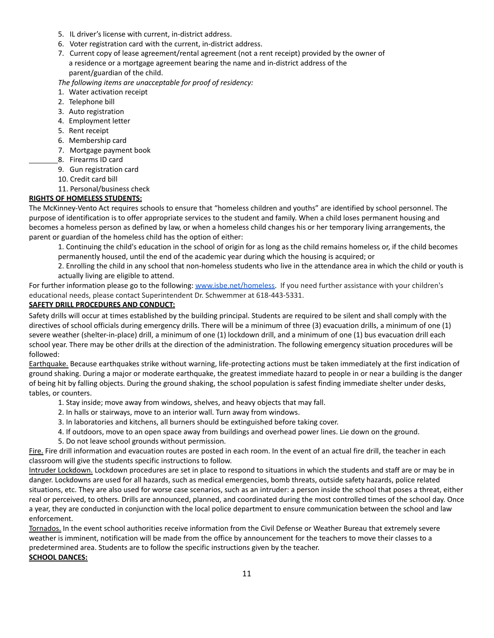- 5. IL driver's license with current, in-district address.
- 6. Voter registration card with the current, in-district address.
- 7. Current copy of lease agreement/rental agreement (not a rent receipt) provided by the owner of a residence or a mortgage agreement bearing the name and in-district address of the parent/guardian of the child.

*The following items are unacceptable for proof of residency:*

- 1. Water activation receipt
- 2. Telephone bill
- 3. Auto registration
- 4. Employment letter
- 5. Rent receipt
- 6. Membership card
- 7. Mortgage payment book
- 8. Firearms ID card
	- 9. Gun registration card
	- 10. Credit card bill
	- 11. Personal/business check

#### **RIGHTS OF HOMELESS STUDENTS:**

The McKinney-Vento Act requires schools to ensure that "homeless children and youths" are identified by school personnel. The purpose of identification is to offer appropriate services to the student and family. When a child loses permanent housing and becomes a homeless person as defined by law, or when a homeless child changes his or her temporary living arrangements, the parent or guardian of the homeless child has the option of either:

1. Continuing the child's education in the school of origin for as long as the child remains homeless or, if the child becomes permanently housed, until the end of the academic year during which the housing is acquired; or

2. Enrolling the child in any school that non-homeless students who live in the attendance area in which the child or youth is actually living are eligible to attend.

For further information please go to the following: [www.isbe.net/homeless.](http://www.isbe.net/homeless) If you need further assistance with your children's educational needs, please contact Superintendent Dr. Schwemmer at 618-443-5331.

#### **SAFETY DRILL PROCEDURES AND CONDUCT:**

Safety drills will occur at times established by the building principal. Students are required to be silent and shall comply with the directives of school officials during emergency drills. There will be a minimum of three (3) evacuation drills, a minimum of one (1) severe weather (shelter-in-place) drill, a minimum of one (1) lockdown drill, and a minimum of one (1) bus evacuation drill each school year. There may be other drills at the direction of the administration. The following emergency situation procedures will be followed:

Earthquake. Because earthquakes strike without warning, life-protecting actions must be taken immediately at the first indication of ground shaking. During a major or moderate earthquake, the greatest immediate hazard to people in or near a building is the danger of being hit by falling objects. During the ground shaking, the school population is safest finding immediate shelter under desks, tables, or counters.

- 1. Stay inside; move away from windows, shelves, and heavy objects that may fall.
- 2. In halls or stairways, move to an interior wall. Turn away from windows.
- 3. In laboratories and kitchens, all burners should be extinguished before taking cover.
- 4. If outdoors, move to an open space away from buildings and overhead power lines. Lie down on the ground.
- 5. Do not leave school grounds without permission.

Fire. Fire drill information and evacuation routes are posted in each room. In the event of an actual fire drill, the teacher in each classroom will give the students specific instructions to follow.

Intruder Lockdown. Lockdown procedures are set in place to respond to situations in which the students and staff are or may be in danger. Lockdowns are used for all hazards, such as medical emergencies, bomb threats, outside safety hazards, police related situations, etc. They are also used for worse case scenarios, such as an intruder: a person inside the school that poses a threat, either real or perceived, to others. Drills are announced, planned, and coordinated during the most controlled times of the school day. Once a year, they are conducted in conjunction with the local police department to ensure communication between the school and law enforcement.

Tornados. In the event school authorities receive information from the Civil Defense or Weather Bureau that extremely severe weather is imminent, notification will be made from the office by announcement for the teachers to move their classes to a predetermined area. Students are to follow the specific instructions given by the teacher.

#### **SCHOOL DANCES:**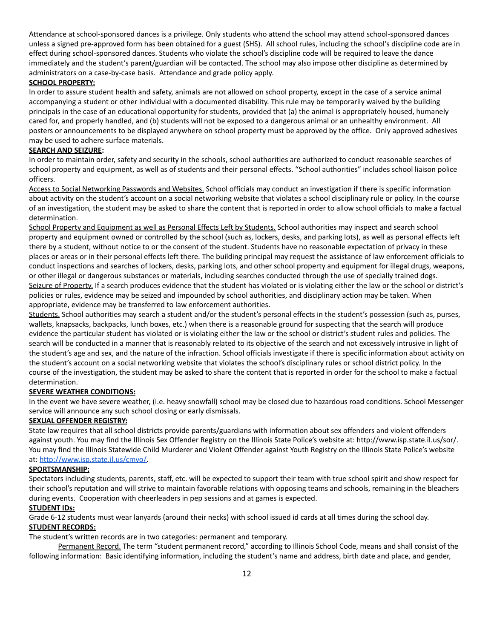Attendance at school-sponsored dances is a privilege. Only students who attend the school may attend school-sponsored dances unless a signed pre-approved form has been obtained for a guest (SHS). All school rules, including the school's discipline code are in effect during school-sponsored dances. Students who violate the school's discipline code will be required to leave the dance immediately and the student's parent/guardian will be contacted. The school may also impose other discipline as determined by administrators on a case-by-case basis. Attendance and grade policy apply.

#### **SCHOOL PROPERTY:**

In order to assure student health and safety, animals are not allowed on school property, except in the case of a service animal accompanying a student or other individual with a documented disability. This rule may be temporarily waived by the building principals in the case of an educational opportunity for students, provided that (a) the animal is appropriately housed, humanely cared for, and properly handled, and (b) students will not be exposed to a dangerous animal or an unhealthy environment. All posters or announcements to be displayed anywhere on school property must be approved by the office. Only approved adhesives may be used to adhere surface materials.

#### **SEARCH AND SEIZURE:**

In order to maintain order, safety and security in the schools, school authorities are authorized to conduct reasonable searches of school property and equipment, as well as of students and their personal effects. "School authorities" includes school liaison police officers.

Access to Social Networking Passwords and Websites. School officials may conduct an investigation if there is specific information about activity on the student's account on a social networking website that violates a school disciplinary rule or policy. In the course of an investigation, the student may be asked to share the content that is reported in order to allow school officials to make a factual determination.

School Property and Equipment as well as Personal Effects Left by Students. School authorities may inspect and search school property and equipment owned or controlled by the school (such as, lockers, desks, and parking lots), as well as personal effects left there by a student, without notice to or the consent of the student. Students have no reasonable expectation of privacy in these places or areas or in their personal effects left there. The building principal may request the assistance of law enforcement officials to conduct inspections and searches of lockers, desks, parking lots, and other school property and equipment for illegal drugs, weapons, or other illegal or dangerous substances or materials, including searches conducted through the use of specially trained dogs. Seizure of Property. If a search produces evidence that the student has violated or is violating either the law or the school or district's policies or rules, evidence may be seized and impounded by school authorities, and disciplinary action may be taken. When appropriate, evidence may be transferred to law enforcement authorities.

Students. School authorities may search a student and/or the student's personal effects in the student's possession (such as, purses, wallets, knapsacks, backpacks, lunch boxes, etc.) when there is a reasonable ground for suspecting that the search will produce evidence the particular student has violated or is violating either the law or the school or district's student rules and policies. The search will be conducted in a manner that is reasonably related to its objective of the search and not excessively intrusive in light of the student's age and sex, and the nature of the infraction. School officials investigate if there is specific information about activity on the student's account on a social networking website that violates the school's disciplinary rules or school district policy. In the course of the investigation, the student may be asked to share the content that is reported in order for the school to make a factual determination.

#### **SEVERE WEATHER CONDITIONS:**

In the event we have severe weather, (i.e. heavy snowfall) school may be closed due to hazardous road conditions. School Messenger service will announce any such school closing or early dismissals.

#### **SEXUAL OFFENDER REGISTRY:**

State law requires that all school districts provide parents/guardians with information about sex offenders and violent offenders against youth. You may find the Illinois Sex Offender Registry on the Illinois State Police's website at: http://www.isp.state.il.us/sor/. You may find the Illinois Statewide Child Murderer and Violent Offender against Youth Registry on the Illinois State Police's website at: [http://www.isp.state.il.us/cmvo/.](http://www.isp.state.il.us/cmvo/)

#### **SPORTSMANSHIP:**

Spectators including students, parents, staff, etc. will be expected to support their team with true school spirit and show respect for their school's reputation and will strive to maintain favorable relations with opposing teams and schools, remaining in the bleachers during events. Cooperation with cheerleaders in pep sessions and at games is expected.

#### **STUDENT IDs:**

Grade 6-12 students must wear lanyards (around their necks) with school issued id cards at all times during the school day. **STUDENT RECORDS:**

The student's written records are in two categories: permanent and temporary.

Permanent Record. The term "student permanent record," according to Illinois School Code, means and shall consist of the following information: Basic identifying information, including the student's name and address, birth date and place, and gender,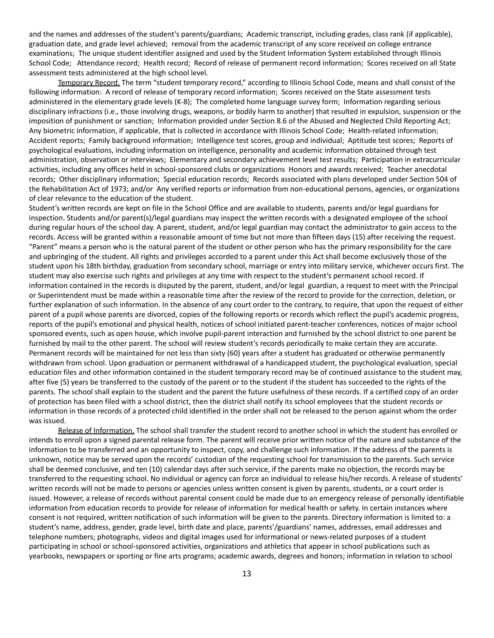and the names and addresses of the student's parents/guardians; Academic transcript, including grades, class rank (if applicable), graduation date, and grade level achieved; removal from the academic transcript of any score received on college entrance examinations; The unique student identifier assigned and used by the Student Information System established through Illinois School Code; Attendance record; Health record; Record of release of permanent record information; Scores received on all State assessment tests administered at the high school level.

Temporary Record. The term "student temporary record," according to Illinois School Code, means and shall consist of the following information: A record of release of temporary record information; Scores received on the State assessment tests administered in the elementary grade levels (K-8); The completed home language survey form; Information regarding serious disciplinary infractions (i.e., those involving drugs, weapons, or bodily harm to another) that resulted in expulsion, suspension or the imposition of punishment or sanction; Information provided under Section 8.6 of the Abused and Neglected Child Reporting Act; Any biometric information, if applicable, that is collected in accordance with Illinois School Code; Health-related information; Accident reports; Family background information; Intelligence test scores, group and individual; Aptitude test scores; Reports of psychological evaluations, including information on intelligence, personality and academic information obtained through test administration, observation or interviews; Elementary and secondary achievement level test results; Participation in extracurricular activities, including any offices held in school-sponsored clubs or organizations Honors and awards received; Teacher anecdotal records; Other disciplinary information; Special education records; Records associated with plans developed under Section 504 of the Rehabilitation Act of 1973; and/or Any verified reports or information from non-educational persons, agencies, or organizations of clear relevance to the education of the student.

Student's written records are kept on file in the School Office and are available to students, parents and/or legal guardians for inspection. Students and/or parent(s)/legal guardians may inspect the written records with a designated employee of the school during regular hours of the school day. A parent, student, and/or legal guardian may contact the administrator to gain access to the records. Access will be granted within a reasonable amount of time but not more than fifteen days (15) after receiving the request. "Parent" means a person who is the natural parent of the student or other person who has the primary responsibility for the care and upbringing of the student. All rights and privileges accorded to a parent under this Act shall become exclusively those of the student upon his 18th birthday, graduation from secondary school, marriage or entry into military service, whichever occurs first. The student may also exercise such rights and privileges at any time with respect to the student's permanent school record. If information contained in the records is disputed by the parent, student, and/or legal guardian, a request to meet with the Principal or Superintendent must be made within a reasonable time after the review of the record to provide for the correction, deletion, or further explanation of such information. In the absence of any court order to the contrary, to require, that upon the request of either parent of a pupil whose parents are divorced, copies of the following reports or records which reflect the pupil's academic progress, reports of the pupil's emotional and physical health, notices of school initiated parent-teacher conferences, notices of major school sponsored events, such as open house, which involve pupil-parent interaction and furnished by the school district to one parent be furnished by mail to the other parent. The school will review student's records periodically to make certain they are accurate. Permanent records will be maintained for not less than sixty (60) years after a student has graduated or otherwise permanently withdrawn from school. Upon graduation or permanent withdrawal of a handicapped student, the psychological evaluation, special education files and other information contained in the student temporary record may be of continued assistance to the student may, after five (5) years be transferred to the custody of the parent or to the student if the student has succeeded to the rights of the parents. The school shall explain to the student and the parent the future usefulness of these records. If a certified copy of an order of protection has been filed with a school district, then the district shall notify its school employees that the student records or information in those records of a protected child identified in the order shall not be released to the person against whom the order was issued.

Release of Information. The school shall transfer the student record to another school in which the student has enrolled or intends to enroll upon a signed parental release form. The parent will receive prior written notice of the nature and substance of the information to be transferred and an opportunity to inspect, copy, and challenge such information. If the address of the parents is unknown, notice may be served upon the records' custodian of the requesting school for transmission to the parents. Such service shall be deemed conclusive, and ten (10) calendar days after such service, if the parents make no objection, the records may be transferred to the requesting school. No individual or agency can force an individual to release his/her records. A release of students' written records will not be made to persons or agencies unless written consent is given by parents, students, or a court order is issued. However, a release of records without parental consent could be made due to an emergency release of personally identifiable information from education records to provide for release of information for medical health or safety. In certain instances where consent is not required, written notification of such information will be given to the parents. Directory information is limited to: a student's name, address, gender, grade level, birth date and place, parents'/guardians' names, addresses, email addresses and telephone numbers; photographs, videos and digital images used for informational or news-related purposes of a student participating in school or school-sponsored activities, organizations and athletics that appear in school publications such as yearbooks, newspapers or sporting or fine arts programs; academic awards, degrees and honors; information in relation to school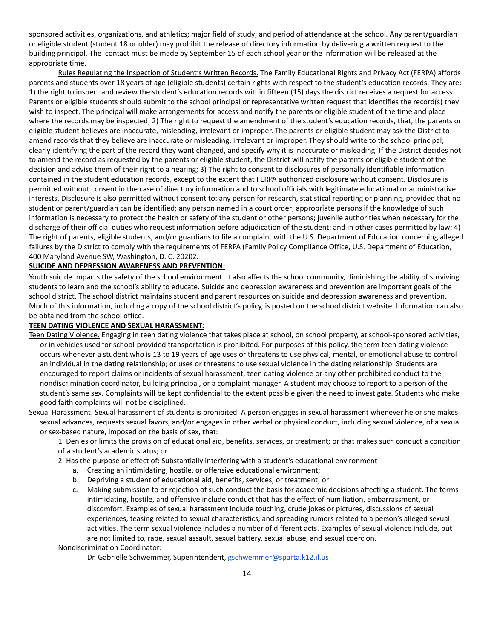sponsored activities, organizations, and athletics; major field of study; and period of attendance at the school. Any parent/guardian or eligible student (student 18 or older) may prohibit the release of directory information by delivering a written request to the building principal. The contact must be made by September 15 of each school year or the information will be released at the appropriate time.

Rules Regulating the Inspection of Student's Written Records. The Family Educational Rights and Privacy Act (FERPA) affords parents and students over 18 years of age (eligible students) certain rights with respect to the student's education records. They are: 1) the right to inspect and review the student's education records within fifteen (15) days the district receives a request for access. Parents or eligible students should submit to the school principal or representative written request that identifies the record(s) they wish to inspect. The principal will make arrangements for access and notify the parents or eligible student of the time and place where the records may be inspected; 2) The right to request the amendment of the student's education records, that, the parents or eligible student believes are inaccurate, misleading, irrelevant or improper. The parents or eligible student may ask the District to amend records that they believe are inaccurate or misleading, irrelevant or improper. They should write to the school principal; clearly identifying the part of the record they want changed, and specify why it is inaccurate or misleading. If the District decides not to amend the record as requested by the parents or eligible student, the District will notify the parents or eligible student of the decision and advise them of their right to a hearing; 3) The right to consent to disclosures of personally identifiable information contained in the student education records, except to the extent that FERPA authorized disclosure without consent. Disclosure is permitted without consent in the case of directory information and to school officials with legitimate educational or administrative interests. Disclosure is also permitted without consent to: any person for research, statistical reporting or planning, provided that no student or parent/guardian can be identified; any person named in a court order; appropriate persons if the knowledge of such information is necessary to protect the health or safety of the student or other persons; juvenile authorities when necessary for the discharge of their official duties who request information before adjudication of the student; and in other cases permitted by law; 4) The right of parents, eligible students, and/or guardians to file a complaint with the U.S. Department of Education concerning alleged failures by the District to comply with the requirements of FERPA (Family Policy Compliance Office, U.S. Department of Education, 400 Maryland Avenue SW, Washington, D. C. 20202.

#### **SUICIDE AND DEPRESSION AWARENESS AND PREVENTION:**

Youth suicide impacts the safety of the school environment. It also affects the school community, diminishing the ability of surviving students to learn and the school's ability to educate. Suicide and depression awareness and prevention are important goals of the school district. The school district maintains student and parent resources on suicide and depression awareness and prevention. Much of this information, including a copy of the school district's policy, is posted on the school district website. Information can also be obtained from the school office.

#### **TEEN DATING VIOLENCE AND SEXUAL HARASSMENT:**

- Teen Dating Violence. Engaging in teen dating violence that takes place at school, on school property, at school-sponsored activities, or in vehicles used for school-provided transportation is prohibited. For purposes of this policy, the term teen dating violence occurs whenever a student who is 13 to 19 years of age uses or threatens to use physical, mental, or emotional abuse to control an individual in the dating relationship; or uses or threatens to use sexual violence in the dating relationship. Students are encouraged to report claims or incidents of sexual harassment, teen dating violence or any other prohibited conduct to the nondiscrimination coordinator, building principal, or a complaint manager. A student may choose to report to a person of the student's same sex. Complaints will be kept confidential to the extent possible given the need to investigate. Students who make good faith complaints will not be disciplined.
- Sexual Harassment. Sexual harassment of students is prohibited. A person engages in sexual harassment whenever he or she makes sexual advances, requests sexual favors, and/or engages in other verbal or physical conduct, including sexual violence, of a sexual or sex-based nature, imposed on the basis of sex, that:
	- 1. Denies or limits the provision of educational aid, benefits, services, or treatment; or that makes such conduct a condition of a student's academic status; or
	- 2. Has the purpose or effect of: Substantially interfering with a student's educational environment
		- a. Creating an intimidating, hostile, or offensive educational environment;
		- b. Depriving a student of educational aid, benefits, services, or treatment; or
		- c. Making submission to or rejection of such conduct the basis for academic decisions affecting a student. The terms intimidating, hostile, and offensive include conduct that has the effect of humiliation, embarrassment, or discomfort. Examples of sexual harassment include touching, crude jokes or pictures, discussions of sexual experiences, teasing related to sexual characteristics, and spreading rumors related to a person's alleged sexual activities. The term sexual violence includes a number of different acts. Examples of sexual violence include, but are not limited to, rape, sexual assault, sexual battery, sexual abuse, and sexual coercion.

Nondiscrimination Coordinator:

Dr. Gabrielle Schwemmer, Superintendent, [gschwemmer@sparta.k12.il.us](mailto:gschwemmer@sparta.k12.il.us)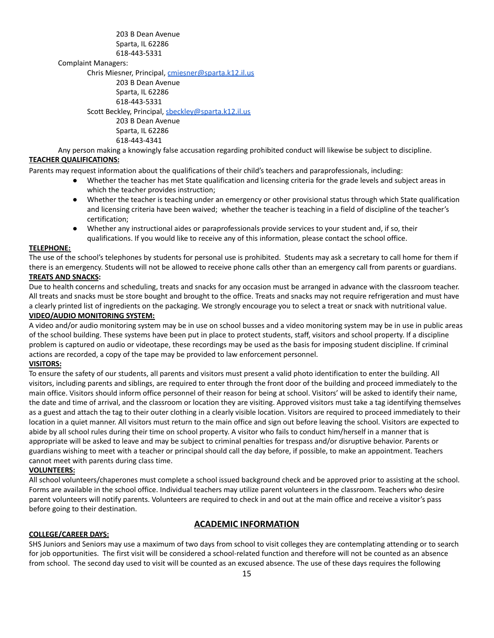203 B Dean Avenue Sparta, IL 62286 618-443-5331

Complaint Managers:

Chris Miesner, Principal, [cmiesner@sparta.k12.il.us](mailto:aprice@sparta.k12.il.us) 203 B Dean Avenue Sparta, IL 62286 618-443-5331 Scott Beckley, Principal, [sbeckley@sparta.k12.il.us](mailto:sbeckley@sparta.k12.il.us) 203 B Dean Avenue Sparta, IL 62286 618-443-4341

Any person making a knowingly false accusation regarding prohibited conduct will likewise be subject to discipline. **TEACHER QUALIFICATIONS:**

Parents may request information about the qualifications of their child's teachers and paraprofessionals, including:

- Whether the teacher has met State qualification and licensing criteria for the grade levels and subject areas in which the teacher provides instruction;
- Whether the teacher is teaching under an emergency or other provisional status through which State qualification and licensing criteria have been waived; whether the teacher is teaching in a field of discipline of the teacher's certification;
- Whether any instructional aides or paraprofessionals provide services to your student and, if so, their qualifications. If you would like to receive any of this information, please contact the school office.

#### **TELEPHONE:**

The use of the school's telephones by students for personal use is prohibited. Students may ask a secretary to call home for them if there is an emergency. Students will not be allowed to receive phone calls other than an emergency call from parents or guardians.

#### **TREATS AND SNACKS:**

Due to health concerns and scheduling, treats and snacks for any occasion must be arranged in advance with the classroom teacher. All treats and snacks must be store bought and brought to the office. Treats and snacks may not require refrigeration and must have a clearly printed list of ingredients on the packaging. We strongly encourage you to select a treat or snack with nutritional value. **VIDEO/AUDIO MONITORING SYSTEM:**

A video and/or audio monitoring system may be in use on school busses and a video monitoring system may be in use in public areas of the school building. These systems have been put in place to protect students, staff, visitors and school property. If a discipline problem is captured on audio or videotape, these recordings may be used as the basis for imposing student discipline. If criminal actions are recorded, a copy of the tape may be provided to law enforcement personnel.

#### **VISITORS:**

To ensure the safety of our students, all parents and visitors must present a valid photo identification to enter the building. All visitors, including parents and siblings, are required to enter through the front door of the building and proceed immediately to the main office. Visitors should inform office personnel of their reason for being at school. Visitors' will be asked to identify their name, the date and time of arrival, and the classroom or location they are visiting. Approved visitors must take a tag identifying themselves as a guest and attach the tag to their outer clothing in a clearly visible location. Visitors are required to proceed immediately to their location in a quiet manner. All visitors must return to the main office and sign out before leaving the school. Visitors are expected to abide by all school rules during their time on school property. A visitor who fails to conduct him/herself in a manner that is appropriate will be asked to leave and may be subject to criminal penalties for trespass and/or disruptive behavior. Parents or guardians wishing to meet with a teacher or principal should call the day before, if possible, to make an appointment. Teachers cannot meet with parents during class time.

#### **VOLUNTEERS:**

All school volunteers/chaperones must complete a school issued background check and be approved prior to assisting at the school. Forms are available in the school office. Individual teachers may utilize parent volunteers in the classroom. Teachers who desire parent volunteers will notify parents. Volunteers are required to check in and out at the main office and receive a visitor's pass before going to their destination.

#### **ACADEMIC INFORMATION**

#### **COLLEGE/CAREER DAYS:**

SHS Juniors and Seniors may use a maximum of two days from school to visit colleges they are contemplating attending or to search for job opportunities. The first visit will be considered a school-related function and therefore will not be counted as an absence from school. The second day used to visit will be counted as an excused absence. The use of these days requires the following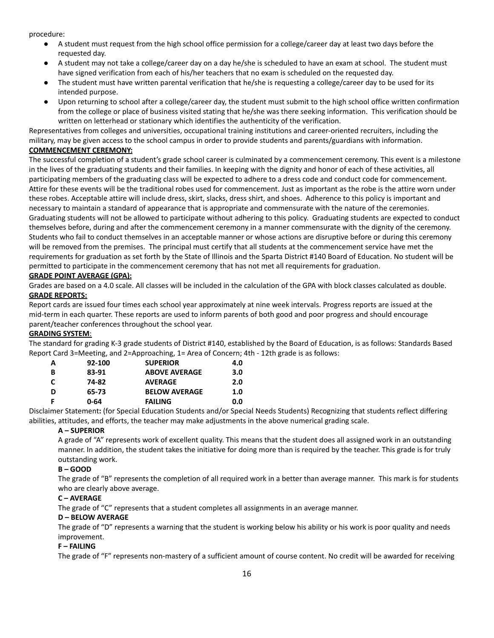procedure:

- A student must request from the high school office permission for a college/career day at least two days before the requested day.
- A student may not take a college/career day on a day he/she is scheduled to have an exam at school. The student must have signed verification from each of his/her teachers that no exam is scheduled on the requested day.
- The student must have written parental verification that he/she is requesting a college/career day to be used for its intended purpose.
- Upon returning to school after a college/career day, the student must submit to the high school office written confirmation from the college or place of business visited stating that he/she was there seeking information. This verification should be written on letterhead or stationary which identifies the authenticity of the verification.

Representatives from colleges and universities, occupational training institutions and career-oriented recruiters, including the military, may be given access to the school campus in order to provide students and parents/guardians with information.

#### **COMMENCEMENT CEREMONY:**

The successful completion of a student's grade school career is culminated by a commencement ceremony. This event is a milestone in the lives of the graduating students and their families. In keeping with the dignity and honor of each of these activities, all participating members of the graduating class will be expected to adhere to a dress code and conduct code for commencement. Attire for these events will be the traditional robes used for commencement. Just as important as the robe is the attire worn under these robes. Acceptable attire will include dress, skirt, slacks, dress shirt, and shoes. Adherence to this policy is important and necessary to maintain a standard of appearance that is appropriate and commensurate with the nature of the ceremonies. Graduating students will not be allowed to participate without adhering to this policy. Graduating students are expected to conduct themselves before, during and after the commencement ceremony in a manner commensurate with the dignity of the ceremony. Students who fail to conduct themselves in an acceptable manner or whose actions are disruptive before or during this ceremony will be removed from the premises. The principal must certify that all students at the commencement service have met the requirements for graduation as set forth by the State of Illinois and the Sparta District #140 Board of Education. No student will be permitted to participate in the commencement ceremony that has not met all requirements for graduation.

#### **GRADE POINT AVERAGE (GPA):**

Grades are based on a 4.0 scale. All classes will be included in the calculation of the GPA with block classes calculated as double. **GRADE REPORTS:**

Report cards are issued four times each school year approximately at nine week intervals. Progress reports are issued at the mid-term in each quarter. These reports are used to inform parents of both good and poor progress and should encourage parent/teacher conferences throughout the school year.

#### **GRADING SYSTEM**:

The standard for grading K-3 grade students of District #140, established by the Board of Education, is as follows: Standards Based Report Card 3=Meeting, and 2=Approaching, 1= Area of Concern; 4th - 12th grade is as follows:

| А | 92-100 | <b>SUPERIOR</b>      | 4.0 |
|---|--------|----------------------|-----|
| в | 83-91  | <b>ABOVE AVERAGE</b> | 3.0 |
| C | 74-82  | <b>AVERAGE</b>       | 2.0 |
| D | 65-73  | <b>BELOW AVERAGE</b> | 1.0 |
|   | 0-64   | <b>FAILING</b>       | 0.0 |

Disclaimer Statement**:** (for Special Education Students and/or Special Needs Students) Recognizing that students reflect differing abilities, attitudes, and efforts, the teacher may make adjustments in the above numerical grading scale.

#### **A – SUPERIOR**

A grade of "A" represents work of excellent quality. This means that the student does all assigned work in an outstanding manner. In addition, the student takes the initiative for doing more than is required by the teacher. This grade is for truly outstanding work.

#### **B – GOOD**

The grade of "B" represents the completion of all required work in a better than average manner. This mark is for students who are clearly above average.

#### **C – AVERAGE**

The grade of "C" represents that a student completes all assignments in an average manner.

#### **D – BELOW AVERAGE**

The grade of "D" represents a warning that the student is working below his ability or his work is poor quality and needs improvement.

#### **F – FAILING**

The grade of "F" represents non-mastery of a sufficient amount of course content. No credit will be awarded for receiving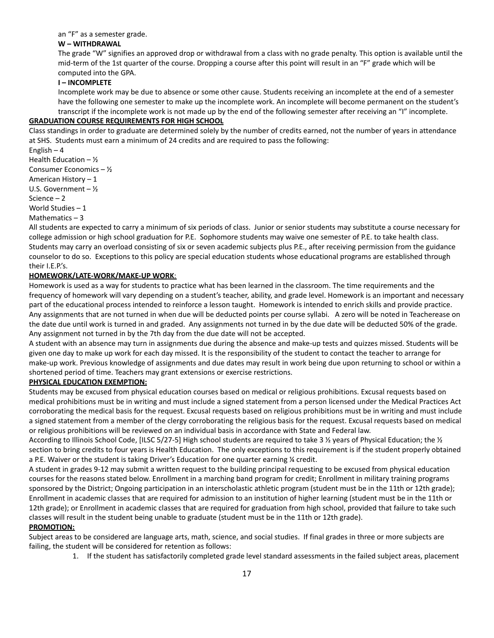#### an "F" as a semester grade.

#### **W – WITHDRAWAL**

The grade "W" signifies an approved drop or withdrawal from a class with no grade penalty. This option is available until the mid-term of the 1st quarter of the course. Dropping a course after this point will result in an "F" grade which will be computed into the GPA.

#### **I – INCOMPLETE**

Incomplete work may be due to absence or some other cause. Students receiving an incomplete at the end of a semester have the following one semester to make up the incomplete work. An incomplete will become permanent on the student's transcript if the incomplete work is not made up by the end of the following semester after receiving an "I" incomplete.

#### **GRADUATION COURSE REQUIREMENTS FOR HIGH SCHOOL**

Class standings in order to graduate are determined solely by the number of credits earned, not the number of years in attendance at SHS. Students must earn a minimum of 24 credits and are required to pass the following:

English – 4

Health Education  $\frac{1}{2}$ 

Consumer Economics – ½

American History – 1

U.S. Government – ½

Science – 2

World Studies – 1

Mathematics  $-3$ 

All students are expected to carry a minimum of six periods of class. Junior or senior students may substitute a course necessary for college admission or high school graduation for P.E. Sophomore students may waive one semester of P.E. to take health class. Students may carry an overload consisting of six or seven academic subjects plus P.E., after receiving permission from the guidance counselor to do so. Exceptions to this policy are special education students whose educational programs are established through their I.E.P.'s.

#### **HOMEWORK/LATE-WORK/MAKE-UP WORK**:

Homework is used as a way for students to practice what has been learned in the classroom. The time requirements and the frequency of homework will vary depending on a student's teacher, ability, and grade level. Homework is an important and necessary part of the educational process intended to reinforce a lesson taught. Homework is intended to enrich skills and provide practice. Any assignments that are not turned in when due will be deducted points per course syllabi. A zero will be noted in Teacherease on the date due until work is turned in and graded. Any assignments not turned in by the due date will be deducted 50% of the grade. Any assignment not turned in by the 7th day from the due date will not be accepted.

A student with an absence may turn in assignments due during the absence and make-up tests and quizzes missed. Students will be given one day to make up work for each day missed. It is the responsibility of the student to contact the teacher to arrange for make-up work. Previous knowledge of assignments and due dates may result in work being due upon returning to school or within a shortened period of time. Teachers may grant extensions or exercise restrictions.

#### **PHYSICAL EDUCATION EXEMPTION:**

Students may be excused from physical education courses based on medical or religious prohibitions. Excusal requests based on medical prohibitions must be in writing and must include a signed statement from a person licensed under the Medical Practices Act corroborating the medical basis for the request. Excusal requests based on religious prohibitions must be in writing and must include a signed statement from a member of the clergy corroborating the religious basis for the request. Excusal requests based on medical or religious prohibitions will be reviewed on an individual basis in accordance with State and Federal law.

According to Illinois School Code, [ILSC 5/27-5] High school students are required to take 3 ½ years of Physical Education; the ½ section to bring credits to four years is Health Education. The only exceptions to this requirement is if the student properly obtained a P.E. Waiver or the student is taking Driver's Education for one quarter earning ¼ credit.

A student in grades 9-12 may submit a written request to the building principal requesting to be excused from physical education courses for the reasons stated below. Enrollment in a marching band program for credit; Enrollment in military training programs sponsored by the District; Ongoing participation in an interscholastic athletic program (student must be in the 11th or 12th grade); Enrollment in academic classes that are required for admission to an institution of higher learning (student must be in the 11th or 12th grade); or Enrollment in academic classes that are required for graduation from high school, provided that failure to take such classes will result in the student being unable to graduate (student must be in the 11th or 12th grade).

#### **PROMOTION:**

Subject areas to be considered are language arts, math, science, and social studies. If final grades in three or more subjects are failing, the student will be considered for retention as follows:

1. If the student has satisfactorily completed grade level standard assessments in the failed subject areas, placement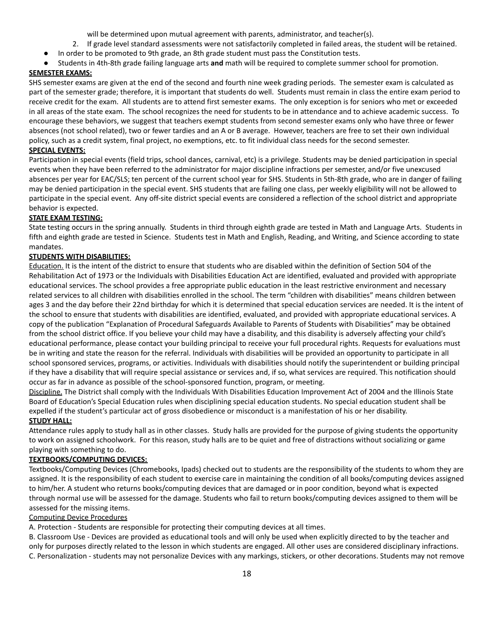will be determined upon mutual agreement with parents, administrator, and teacher(s).

- 2. If grade level standard assessments were not satisfactorily completed in failed areas, the student will be retained.
- In order to be promoted to 9th grade, an 8th grade student must pass the Constitution tests.
- Students in 4th-8th grade failing language arts **and** math will be required to complete summer school for promotion.

#### **SEMESTER EXAMS:**

SHS semester exams are given at the end of the second and fourth nine week grading periods. The semester exam is calculated as part of the semester grade; therefore, it is important that students do well. Students must remain in class the entire exam period to receive credit for the exam. All students are to attend first semester exams. The only exception is for seniors who met or exceeded in all areas of the state exam. The school recognizes the need for students to be in attendance and to achieve academic success. To encourage these behaviors, we suggest that teachers exempt students from second semester exams only who have three or fewer absences (not school related), two or fewer tardies and an A or B average. However, teachers are free to set their own individual policy, such as a credit system, final project, no exemptions, etc. to fit individual class needs for the second semester.

#### **SPECIAL EVENTS:**

Participation in special events (field trips, school dances, carnival, etc) is a privilege. Students may be denied participation in special events when they have been referred to the administrator for major discipline infractions per semester, and/or five unexcused absences per year for EAC/SLS; ten percent of the current school year for SHS. Students in 5th-8th grade, who are in danger of failing may be denied participation in the special event. SHS students that are failing one class, per weekly eligibility will not be allowed to participate in the special event. Any off-site district special events are considered a reflection of the school district and appropriate behavior is expected.

#### **STATE EXAM TESTING:**

State testing occurs in the spring annually. Students in third through eighth grade are tested in Math and Language Arts. Students in fifth and eighth grade are tested in Science. Students test in Math and English, Reading, and Writing, and Science according to state mandates.

#### **STUDENTS WITH DISABILITIES:**

Education. It is the intent of the district to ensure that students who are disabled within the definition of Section 504 of the Rehabilitation Act of 1973 or the Individuals with Disabilities Education Act are identified, evaluated and provided with appropriate educational services. The school provides a free appropriate public education in the least restrictive environment and necessary related services to all children with disabilities enrolled in the school. The term "children with disabilities" means children between ages 3 and the day before their 22nd birthday for which it is determined that special education services are needed. It is the intent of the school to ensure that students with disabilities are identified, evaluated, and provided with appropriate educational services. A copy of the publication "Explanation of Procedural Safeguards Available to Parents of Students with Disabilities" may be obtained from the school district office. If you believe your child may have a disability, and this disability is adversely affecting your child's educational performance, please contact your building principal to receive your full procedural rights. Requests for evaluations must be in writing and state the reason for the referral. Individuals with disabilities will be provided an opportunity to participate in all school sponsored services, programs, or activities. Individuals with disabilities should notify the superintendent or building principal if they have a disability that will require special assistance or services and, if so, what services are required. This notification should occur as far in advance as possible of the school-sponsored function, program, or meeting.

Discipline. The District shall comply with the Individuals With Disabilities Education Improvement Act of 2004 and the Illinois State Board of Education's Special Education rules when disciplining special education students. No special education student shall be expelled if the student's particular act of gross disobedience or misconduct is a manifestation of his or her disability. **STUDY HALL:**

Attendance rules apply to study hall as in other classes. Study halls are provided for the purpose of giving students the opportunity to work on assigned schoolwork. For this reason, study halls are to be quiet and free of distractions without socializing or game playing with something to do.

#### **TEXTBOOKS/COMPUTING DEVICES:**

Textbooks/Computing Devices (Chromebooks, Ipads) checked out to students are the responsibility of the students to whom they are assigned. It is the responsibility of each student to exercise care in maintaining the condition of all books/computing devices assigned to him/her. A student who returns books/computing devices that are damaged or in poor condition, beyond what is expected through normal use will be assessed for the damage. Students who fail to return books/computing devices assigned to them will be assessed for the missing items.

#### Computing Device Procedures

A. Protection - Students are responsible for protecting their computing devices at all times.

B. Classroom Use - Devices are provided as educational tools and will only be used when explicitly directed to by the teacher and only for purposes directly related to the lesson in which students are engaged. All other uses are considered disciplinary infractions. C. Personalization - students may not personalize Devices with any markings, stickers, or other decorations. Students may not remove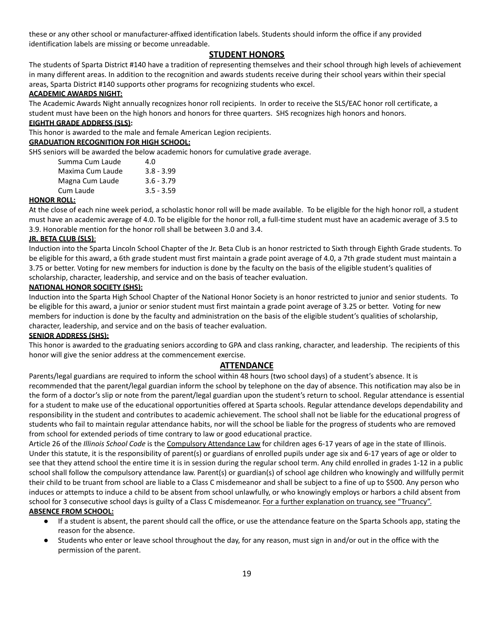these or any other school or manufacturer-affixed identification labels. Students should inform the office if any provided identification labels are missing or become unreadable.

#### **STUDENT HONORS**

The students of Sparta District #140 have a tradition of representing themselves and their school through high levels of achievement in many different areas. In addition to the recognition and awards students receive during their school years within their special areas, Sparta District #140 supports other programs for recognizing students who excel.

#### **ACADEMIC AWARDS NIGHT:**

The Academic Awards Night annually recognizes honor roll recipients. In order to receive the SLS/EAC honor roll certificate, a student must have been on the high honors and honors for three quarters. SHS recognizes high honors and honors.

#### **EIGHTH GRADE ADDRESS (SLS):**

This honor is awarded to the male and female American Legion recipients.

#### **GRADUATION RECOGNITION FOR HIGH SCHOOL:**

SHS seniors will be awarded the below academic honors for cumulative grade average.

| Summa Cum Laude  | 4.0          |
|------------------|--------------|
| Maxima Cum Laude | $3.8 - 3.99$ |
| Magna Cum Laude  | $3.6 - 3.79$ |
| Cum Laude        | $3.5 - 3.59$ |

#### **HONOR ROLL:**

At the close of each nine week period, a scholastic honor roll will be made available. To be eligible for the high honor roll, a student must have an academic average of 4.0. To be eligible for the honor roll, a full-time student must have an academic average of 3.5 to 3.9. Honorable mention for the honor roll shall be between 3.0 and 3.4.

#### **JR. BETA CLUB (SLS)**:

Induction into the Sparta Lincoln School Chapter of the Jr. Beta Club is an honor restricted to Sixth through Eighth Grade students. To be eligible for this award, a 6th grade student must first maintain a grade point average of 4.0, a 7th grade student must maintain a 3.75 or better. Voting for new members for induction is done by the faculty on the basis of the eligible student's qualities of scholarship, character, leadership, and service and on the basis of teacher evaluation.

#### **NATIONAL HONOR SOCIETY (SHS):**

Induction into the Sparta High School Chapter of the National Honor Society is an honor restricted to junior and senior students. To be eligible for this award, a junior or senior student must first maintain a grade point average of 3.25 or better. Voting for new members for induction is done by the faculty and administration on the basis of the eligible student's qualities of scholarship, character, leadership, and service and on the basis of teacher evaluation.

#### **SENIOR ADDRESS (SHS):**

This honor is awarded to the graduating seniors according to GPA and class ranking, character, and leadership. The recipients of this honor will give the senior address at the commencement exercise.

#### **ATTENDANCE**

Parents/legal guardians are required to inform the school within 48 hours (two school days) of a student's absence. It is recommended that the parent/legal guardian inform the school by telephone on the day of absence. This notification may also be in the form of a doctor's slip or note from the parent/legal guardian upon the student's return to school. Regular attendance is essential for a student to make use of the educational opportunities offered at Sparta schools. Regular attendance develops dependability and responsibility in the student and contributes to academic achievement. The school shall not be liable for the educational progress of students who fail to maintain regular attendance habits, nor will the school be liable for the progress of students who are removed from school for extended periods of time contrary to law or good educational practice.

Article 26 of the *Illinois School Code* is the Compulsory Attendance Law for children ages 6-17 years of age in the state of Illinois. Under this statute, it is the responsibility of parent(s) or guardians of enrolled pupils under age six and 6-17 years of age or older to see that they attend school the entire time it is in session during the regular school term. Any child enrolled in grades 1-12 in a public school shall follow the compulsory attendance law. Parent(s) or guardian(s) of school age children who knowingly and willfully permit their child to be truant from school are liable to a Class C misdemeanor and shall be subject to a fine of up to \$500. Any person who induces or attempts to induce a child to be absent from school unlawfully, or who knowingly employs or harbors a child absent from school for 3 consecutive school days is guilty of a Class C misdemeanor. For a further explanation on truancy, see "Truancy".

#### **ABSENCE FROM SCHOOL:**

- If a student is absent, the parent should call the office, or use the attendance feature on the Sparta Schools app, stating the reason for the absence.
- Students who enter or leave school throughout the day, for any reason, must sign in and/or out in the office with the permission of the parent.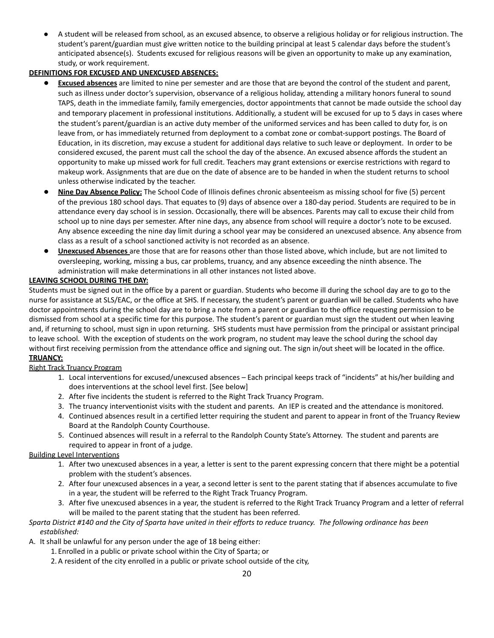A student will be released from school, as an excused absence, to observe a religious holiday or for religious instruction. The student's parent/guardian must give written notice to the building principal at least 5 calendar days before the student's anticipated absence(s). Students excused for religious reasons will be given an opportunity to make up any examination, study, or work requirement.

#### **DEFINITIONS FOR EXCUSED AND UNEXCUSED ABSENCES:**

- **Excused absences** are limited to nine per semester and are those that are beyond the control of the student and parent, such as illness under doctor's supervision, observance of a religious holiday, attending a military honors funeral to sound TAPS, death in the immediate family, family emergencies, doctor appointments that cannot be made outside the school day and temporary placement in professional institutions. Additionally, a student will be excused for up to 5 days in cases where the student's parent/guardian is an active duty member of the uniformed services and has been called to duty for, is on leave from, or has immediately returned from deployment to a combat zone or combat-support postings. The Board of Education, in its discretion, may excuse a student for additional days relative to such leave or deployment. In order to be considered excused, the parent must call the school the day of the absence. An excused absence affords the student an opportunity to make up missed work for full credit. Teachers may grant extensions or exercise restrictions with regard to makeup work. Assignments that are due on the date of absence are to be handed in when the student returns to school unless otherwise indicated by the teacher.
- **Nine Day Absence Policy:** The School Code of Illinois defines chronic absenteeism as missing school for five (5) percent of the previous 180 school days. That equates to (9) days of absence over a 180-day period. Students are required to be in attendance every day school is in session. Occasionally, there will be absences. Parents may call to excuse their child from school up to nine days per semester. After nine days, any absence from school will require a doctor's note to be excused. Any absence exceeding the nine day limit during a school year may be considered an unexcused absence. Any absence from class as a result of a school sanctioned activity is not recorded as an absence.
- **Unexcused Absences** are those that are for reasons other than those listed above, which include, but are not limited to oversleeping, working, missing a bus, car problems, truancy, and any absence exceeding the ninth absence. The administration will make determinations in all other instances not listed above.

#### **LEAVING SCHOOL DURING THE DAY:**

Students must be signed out in the office by a parent or guardian. Students who become ill during the school day are to go to the nurse for assistance at SLS/EAC, or the office at SHS. If necessary, the student's parent or guardian will be called. Students who have doctor appointments during the school day are to bring a note from a parent or guardian to the office requesting permission to be dismissed from school at a specific time for this purpose. The student's parent or guardian must sign the student out when leaving and, if returning to school, must sign in upon returning. SHS students must have permission from the principal or assistant principal to leave school. With the exception of students on the work program, no student may leave the school during the school day without first receiving permission from the attendance office and signing out. The sign in/out sheet will be located in the office. **TRUANCY:**

#### Right Track Truancy Program

- 1. Local interventions for excused/unexcused absences Each principal keeps track of "incidents" at his/her building and does interventions at the school level first. [See below]
- 2. After five incidents the student is referred to the Right Track Truancy Program.
- 3. The truancy interventionist visits with the student and parents. An IEP is created and the attendance is monitored.
- 4. Continued absences result in a certified letter requiring the student and parent to appear in front of the Truancy Review Board at the Randolph County Courthouse.
- 5. Continued absences will result in a referral to the Randolph County State's Attorney. The student and parents are required to appear in front of a judge.

#### Building Level Interventions

- 1. After two unexcused absences in a year, a letter is sent to the parent expressing concern that there might be a potential problem with the student's absences.
- 2. After four unexcused absences in a year, a second letter is sent to the parent stating that if absences accumulate to five in a year, the student will be referred to the Right Track Truancy Program.
- 3. After five unexcused absences in a year, the student is referred to the Right Track Truancy Program and a letter of referral will be mailed to the parent stating that the student has been referred.

#### Sparta District #140 and the City of Sparta have united in their efforts to reduce truancy. The following ordinance has been *established:*

A. It shall be unlawful for any person under the age of 18 being either:

- 1. Enrolled in a public or private school within the City of Sparta; or
- 2.A resident of the city enrolled in a public or private school outside of the city,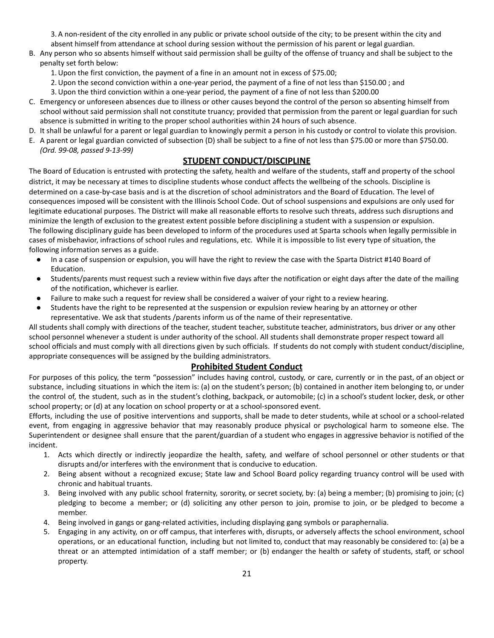3.A non-resident of the city enrolled in any public or private school outside of the city; to be present within the city and absent himself from attendance at school during session without the permission of his parent or legal guardian.

- B. Any person who so absents himself without said permission shall be guilty of the offense of truancy and shall be subject to the penalty set forth below:
	- 1.Upon the first conviction, the payment of a fine in an amount not in excess of \$75.00;
	- 2.Upon the second conviction within a one-year period, the payment of a fine of not less than \$150.00 ; and
	- 3.Upon the third conviction within a one-year period, the payment of a fine of not less than \$200.00
- C. Emergency or unforeseen absences due to illness or other causes beyond the control of the person so absenting himself from school without said permission shall not constitute truancy; provided that permission from the parent or legal guardian for such absence is submitted in writing to the proper school authorities within 24 hours of such absence.
- D. It shall be unlawful for a parent or legal guardian to knowingly permit a person in his custody or control to violate this provision.
- E. A parent or legal guardian convicted of subsection (D) shall be subject to a fine of not less than \$75.00 or more than \$750.00. *(Ord. 99-08, passed 9-13-99)*

#### **STUDENT CONDUCT/DISCIPLINE**

The Board of Education is entrusted with protecting the safety, health and welfare of the students, staff and property of the school district, it may be necessary at times to discipline students whose conduct affects the wellbeing of the schools. Discipline is determined on a case-by-case basis and is at the discretion of school administrators and the Board of Education. The level of consequences imposed will be consistent with the Illinois School Code. Out of school suspensions and expulsions are only used for legitimate educational purposes. The District will make all reasonable efforts to resolve such threats, address such disruptions and minimize the length of exclusion to the greatest extent possible before disciplining a student with a suspension or expulsion. The following disciplinary guide has been developed to inform of the procedures used at Sparta schools when legally permissible in cases of misbehavior, infractions of school rules and regulations, etc. While it is impossible to list every type of situation, the following information serves as a guide.

- In a case of suspension or expulsion, you will have the right to review the case with the Sparta District #140 Board of Education.
- Students/parents must request such a review within five days after the notification or eight days after the date of the mailing of the notification, whichever is earlier.
- Failure to make such a request for review shall be considered a waiver of your right to a review hearing.
- Students have the right to be represented at the suspension or expulsion review hearing by an attorney or other representative. We ask that students /parents inform us of the name of their representative.

All students shall comply with directions of the teacher, student teacher, substitute teacher, administrators, bus driver or any other school personnel whenever a student is under authority of the school. All students shall demonstrate proper respect toward all school officials and must comply with all directions given by such officials. If students do not comply with student conduct/discipline, appropriate consequences will be assigned by the building administrators.

#### **Prohibited Student Conduct**

For purposes of this policy, the term "possession" includes having control, custody, or care, currently or in the past, of an object or substance, including situations in which the item is: (a) on the student's person; (b) contained in another item belonging to, or under the control of, the student, such as in the student's clothing, backpack, or automobile; (c) in a school's student locker, desk, or other school property; or (d) at any location on school property or at a school-sponsored event.

Efforts, including the use of positive interventions and supports, shall be made to deter students, while at school or a school-related event, from engaging in aggressive behavior that may reasonably produce physical or psychological harm to someone else. The Superintendent or designee shall ensure that the parent/guardian of a student who engages in aggressive behavior is notified of the incident.

- 1. Acts which directly or indirectly jeopardize the health, safety, and welfare of school personnel or other students or that disrupts and/or interferes with the environment that is conducive to education.
- 2. Being absent without a recognized excuse; State law and School Board policy regarding truancy control will be used with chronic and habitual truants.
- 3. Being involved with any public school fraternity, sorority, or secret society, by: (a) being a member; (b) promising to join; (c) pledging to become a member; or (d) soliciting any other person to join, promise to join, or be pledged to become a member.
- 4. Being involved in gangs or gang-related activities, including displaying gang symbols or paraphernalia.
- 5. Engaging in any activity, on or off campus, that interferes with, disrupts, or adversely affects the school environment, school operations, or an educational function, including but not limited to, conduct that may reasonably be considered to: (a) be a threat or an attempted intimidation of a staff member; or (b) endanger the health or safety of students, staff, or school property.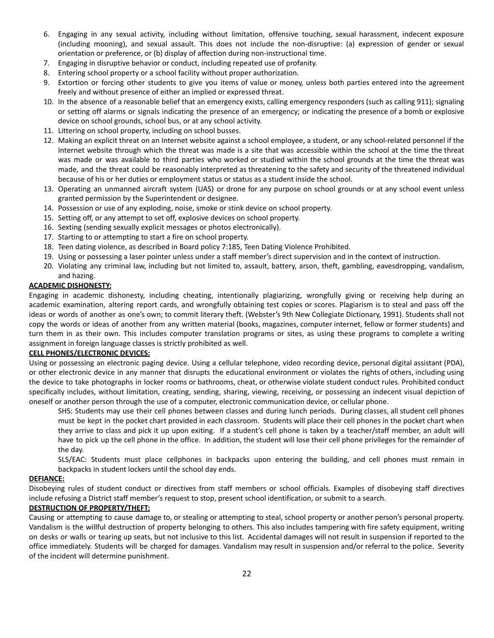- 6. Engaging in any sexual activity, including without limitation, offensive touching, sexual harassment, indecent exposure (including mooning), and sexual assault. This does not include the non-disruptive: (a) expression of gender or sexual orientation or preference, or (b) display of affection during non-instructional time.
- 7. Engaging in disruptive behavior or conduct, including repeated use of profanity.
- 8. Entering school property or a school facility without proper authorization.
- 9. Extortion or forcing other students to give you items of value or money, unless both parties entered into the agreement freely and without presence of either an implied or expressed threat.
- 10. In the absence of a reasonable belief that an emergency exists, calling emergency responders (such as calling 911); signaling or setting off alarms or signals indicating the presence of an emergency; or indicating the presence of a bomb or explosive device on school grounds, school bus, or at any school activity.
- 11. Littering on school property, including on school busses.
- 12. Making an explicit threat on an Internet website against a school employee, a student, or any school-related personnel if the Internet website through which the threat was made is a site that was accessible within the school at the time the threat was made or was available to third parties who worked or studied within the school grounds at the time the threat was made, and the threat could be reasonably interpreted as threatening to the safety and security of the threatened individual because of his or her duties or employment status or status as a student inside the school.
- 13. Operating an unmanned aircraft system (UAS) or drone for any purpose on school grounds or at any school event unless granted permission by the Superintendent or designee.
- 14. Possession or use of any exploding, noise, smoke or stink device on school property.
- 15. Setting off, or any attempt to set off, explosive devices on school property.
- 16. Sexting (sending sexually explicit messages or photos electronically).
- 17. Starting to or attempting to start a fire on school property.
- 18. Teen dating violence, as described in Board policy 7:185, Teen Dating Violence Prohibited.
- 19. Using or possessing a laser pointer unless under a staff member's direct supervision and in the context of instruction.
- 20. Violating any criminal law, including but not limited to, assault, battery, arson, theft, gambling, eavesdropping, vandalism, and hazing.

#### **ACADEMIC DISHONESTY:**

Engaging in academic dishonesty, including cheating, intentionally plagiarizing, wrongfully giving or receiving help during an academic examination, altering report cards, and wrongfully obtaining test copies or scores. Plagiarism is to steal and pass off the ideas or words of another as one's own; to commit literary theft. (Webster's 9th New Collegiate Dictionary, 1991). Students shall not copy the words or ideas of another from any written material (books, magazines, computer internet, fellow or former students) and turn them in as their own. This includes computer translation programs or sites, as using these programs to complete a writing assignment in foreign language classes is strictly prohibited as well.

#### **CELL PHONES/ELECTRONIC DEVICES:**

Using or possessing an electronic paging device. Using a cellular telephone, video recording device, personal digital assistant (PDA), or other electronic device in any manner that disrupts the educational environment or violates the rights of others, including using the device to take photographs in locker rooms or bathrooms, cheat, or otherwise violate student conduct rules. Prohibited conduct specifically includes, without limitation, creating, sending, sharing, viewing, receiving, or possessing an indecent visual depiction of oneself or another person through the use of a computer, electronic communication device, or cellular phone.

SHS: Students may use their cell phones between classes and during lunch periods. During classes, all student cell phones must be kept in the pocket chart provided in each classroom. Students will place their cell phones in the pocket chart when they arrive to class and pick it up upon exiting. If a student's cell phone is taken by a teacher/staff member, an adult will have to pick up the cell phone in the office. In addition, the student will lose their cell phone privileges for the remainder of the day.

SLS/EAC: Students must place cellphones in backpacks upon entering the building, and cell phones must remain in backpacks in student lockers until the school day ends.

#### **DEFIANCE:**

Disobeying rules of student conduct or directives from staff members or school officials. Examples of disobeying staff directives include refusing a District staff member's request to stop, present school identification, or submit to a search.

#### **DESTRUCTION OF PROPERTY/THEFT:**

Causing or attempting to cause damage to, or stealing or attempting to steal, school property or another person's personal property. Vandalism is the willful destruction of property belonging to others. This also includes tampering with fire safety equipment, writing on desks or walls or tearing up seats, but not inclusive to this list. Accidental damages will not result in suspension if reported to the office immediately. Students will be charged for damages. Vandalism may result in suspension and/or referral to the police. Severity of the incident will determine punishment.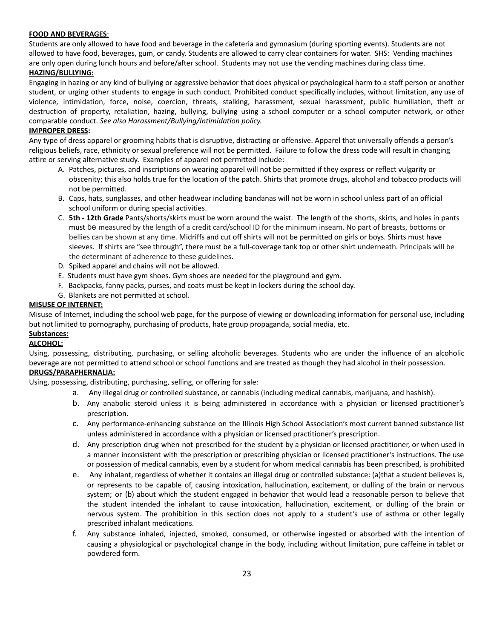#### **FOOD AND BEVERAGES**:

Students are only allowed to have food and beverage in the cafeteria and gymnasium (during sporting events). Students are not allowed to have food, beverages, gum, or candy. Students are allowed to carry clear containers for water. SHS: Vending machines are only open during lunch hours and before/after school. Students may not use the vending machines during class time.

#### **HAZING/BULLYING:**

Engaging in hazing or any kind of bullying or aggressive behavior that does physical or psychological harm to a staff person or another student, or urging other students to engage in such conduct. Prohibited conduct specifically includes, without limitation, any use of violence, intimidation, force, noise, coercion, threats, stalking, harassment, sexual harassment, public humiliation, theft or destruction of property, retaliation, hazing, bullying, bullying using a school computer or a school computer network, or other comparable conduct. *See also Harassment/Bullying/Intimidation policy.*

#### **IMPROPER DRESS:**

Any type of dress apparel or grooming habits that is disruptive, distracting or offensive. Apparel that universally offends a person's religious beliefs, race, ethnicity or sexual preference will not be permitted. Failure to follow the dress code will result in changing attire or serving alternative study. Examples of apparel not permitted include:

- A. Patches, pictures, and inscriptions on wearing apparel will not be permitted if they express or reflect vulgarity or obscenity; this also holds true for the location of the patch. Shirts that promote drugs, alcohol and tobacco products will not be permitted.
- B. Caps, hats, sunglasses, and other headwear including bandanas will not be worn in school unless part of an official school uniform or during special activities.
- C. **5th - 12th Grade** Pants/shorts/skirts must be worn around the waist. The length of the shorts, skirts, and holes in pants must be measured by the length of a credit card/school ID for the minimum inseam. No part of breasts, bottoms or bellies can be shown at any time. Midriffs and cut off shirts will not be permitted on girls or boys. Shirts must have sleeves. If shirts are "see through", there must be a full-coverage tank top or other shirt underneath. Principals will be the determinant of adherence to these guidelines.
- D. Spiked apparel and chains will not be allowed.
- E. Students must have gym shoes. Gym shoes are needed for the playground and gym.
- F. Backpacks, fanny packs, purses, and coats must be kept in lockers during the school day.
- G. Blankets are not permitted at school.

#### **MISUSE OF INTERNET:**

Misuse of Internet, including the school web page, for the purpose of viewing or downloading information for personal use, including but not limited to pornography, purchasing of products, hate group propaganda, social media, etc.

#### **Substances:**

#### **ALCOHOL:**

Using, possessing, distributing, purchasing, or selling alcoholic beverages. Students who are under the influence of an alcoholic beverage are not permitted to attend school or school functions and are treated as though they had alcohol in their possession.

#### **DRUGS/PARAPHERNALIA:**

Using, possessing, distributing, purchasing, selling, or offering for sale:

- a. Any illegal drug or controlled substance, or cannabis (including medical cannabis, marijuana, and hashish).
- b. Any anabolic steroid unless it is being administered in accordance with a physician or licensed practitioner's prescription.
- c. Any performance-enhancing substance on the Illinois High School Association's most current banned substance list unless administered in accordance with a physician or licensed practitioner's prescription.
- d. Any prescription drug when not prescribed for the student by a physician or licensed practitioner, or when used in a manner inconsistent with the prescription or prescribing physician or licensed practitioner's instructions. The use or possession of medical cannabis, even by a student for whom medical cannabis has been prescribed, is prohibited
- e. Any inhalant, regardless of whether it contains an illegal drug or controlled substance: (a)that a student believes is, or represents to be capable of, causing intoxication, hallucination, excitement, or dulling of the brain or nervous system; or (b) about which the student engaged in behavior that would lead a reasonable person to believe that the student intended the inhalant to cause intoxication, hallucination, excitement, or dulling of the brain or nervous system. The prohibition in this section does not apply to a student's use of asthma or other legally prescribed inhalant medications.
- f. Any substance inhaled, injected, smoked, consumed, or otherwise ingested or absorbed with the intention of causing a physiological or psychological change in the body, including without limitation, pure caffeine in tablet or powdered form.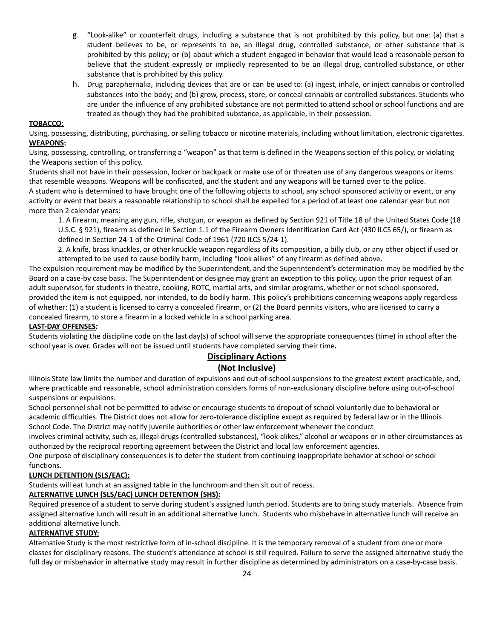- g. "Look-alike" or counterfeit drugs, including a substance that is not prohibited by this policy, but one: (a) that a student believes to be, or represents to be, an illegal drug, controlled substance, or other substance that is prohibited by this policy; or (b) about which a student engaged in behavior that would lead a reasonable person to believe that the student expressly or impliedly represented to be an illegal drug, controlled substance, or other substance that is prohibited by this policy.
- h. Drug paraphernalia, including devices that are or can be used to: (a) ingest, inhale, or inject cannabis or controlled substances into the body; and (b) grow, process, store, or conceal cannabis or controlled substances. Students who are under the influence of any prohibited substance are not permitted to attend school or school functions and are treated as though they had the prohibited substance, as applicable, in their possession.

#### **TOBACCO:**

Using, possessing, distributing, purchasing, or selling tobacco or nicotine materials, including without limitation, electronic cigarettes. **WEAPONS:**

Using, possessing, controlling, or transferring a "weapon" as that term is defined in the Weapons section of this policy, or violating the Weapons section of this policy.

Students shall not have in their possession, locker or backpack or make use of or threaten use of any dangerous weapons or items that resemble weapons. Weapons will be confiscated, and the student and any weapons will be turned over to the police.

A student who is determined to have brought one of the following objects to school, any school sponsored activity or event, or any activity or event that bears a reasonable relationship to school shall be expelled for a period of at least one calendar year but not more than 2 calendar years:

1. A firearm, meaning any gun, rifle, shotgun, or weapon as defined by Section 921 of Title 18 of the United States Code (18 U.S.C. § 921), firearm as defined in Section 1.1 of the Firearm Owners Identification Card Act (430 ILCS 65/), or firearm as defined in Section 24-1 of the Criminal Code of 1961 (720 ILCS 5/24-1).

2. A knife, brass knuckles, or other knuckle weapon regardless of its composition, a billy club, or any other object if used or attempted to be used to cause bodily harm, including "look alikes" of any firearm as defined above.

The expulsion requirement may be modified by the Superintendent, and the Superintendent's determination may be modified by the Board on a case-by case basis. The Superintendent or designee may grant an exception to this policy, upon the prior request of an adult supervisor, for students in theatre, cooking, ROTC, martial arts, and similar programs, whether or not school-sponsored, provided the item is not equipped, nor intended, to do bodily harm. This policy's prohibitions concerning weapons apply regardless of whether: (1) a student is licensed to carry a concealed firearm, or (2) the Board permits visitors, who are licensed to carry a concealed firearm, to store a firearm in a locked vehicle in a school parking area.

#### **LAST-DAY OFFENSES:**

Students violating the discipline code on the last day(s) of school will serve the appropriate consequences (time) in school after the school year is over. Grades will not be issued until students have completed serving their time**.**

#### **Disciplinary Actions (Not Inclusive)**

Illinois State law limits the number and duration of expulsions and out-of-school suspensions to the greatest extent practicable, and, where practicable and reasonable, school administration considers forms of non-exclusionary discipline before using out-of-school suspensions or expulsions.

School personnel shall not be permitted to advise or encourage students to dropout of school voluntarily due to behavioral or academic difficulties. The District does not allow for zero-tolerance discipline except as required by federal law or in the Illinois School Code. The District may notify juvenile authorities or other law enforcement whenever the conduct

involves criminal activity, such as, illegal drugs (controlled substances), "look-alikes," alcohol or weapons or in other circumstances as authorized by the reciprocal reporting agreement between the District and local law enforcement agencies.

One purpose of disciplinary consequences is to deter the student from continuing inappropriate behavior at school or school functions.

#### **LUNCH DETENTION (SLS/EAC):**

Students will eat lunch at an assigned table in the lunchroom and then sit out of recess.

#### **ALTERNATIVE LUNCH (SLS/EAC) LUNCH DETENTION (SHS):**

Required presence of a student to serve during student's assigned lunch period. Students are to bring study materials. Absence from assigned alternative lunch will result in an additional alternative lunch. Students who misbehave in alternative lunch will receive an additional alternative lunch.

#### **ALTERNATIVE STUDY:**

Alternative Study is the most restrictive form of in-school discipline. It is the temporary removal of a student from one or more classes for disciplinary reasons. The student's attendance at school is still required. Failure to serve the assigned alternative study the full day or misbehavior in alternative study may result in further discipline as determined by administrators on a case-by-case basis.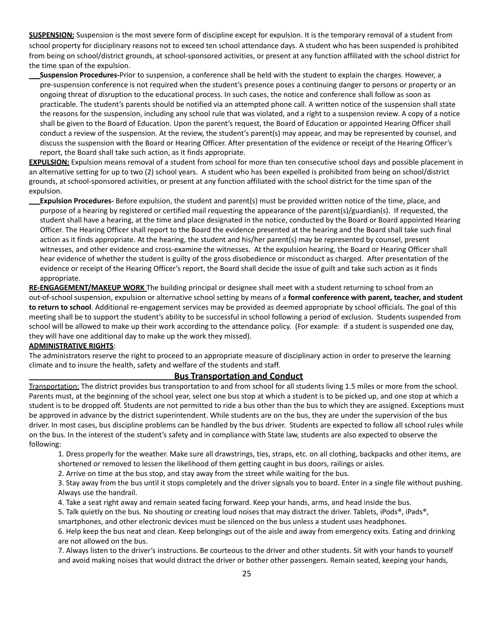**SUSPENSION:** Suspension is the most severe form of discipline except for expulsion. It is the temporary removal of a student from school property for disciplinary reasons not to exceed ten school attendance days. A student who has been suspended is prohibited from being on school/district grounds, at school-sponsored activities, or present at any function affiliated with the school district for the time span of the expulsion.

**Suspension Procedures-**Prior to suspension, a conference shall be held with the student to explain the charges. However, a pre-suspension conference is not required when the student's presence poses a continuing danger to persons or property or an ongoing threat of disruption to the educational process. In such cases, the notice and conference shall follow as soon as practicable. The student's parents should be notified via an attempted phone call. A written notice of the suspension shall state the reasons for the suspension, including any school rule that was violated, and a right to a suspension review. A copy of a notice shall be given to the Board of Education. Upon the parent's request, the Board of Education or appointed Hearing Officer shall conduct a review of the suspension. At the review, the student's parent(s) may appear, and may be represented by counsel, and discuss the suspension with the Board or Hearing Officer. After presentation of the evidence or receipt of the Hearing Officer's report, the Board shall take such action, as it finds appropriate.

**EXPULSION:** Expulsion means removal of a student from school for more than ten consecutive school days and possible placement in an alternative setting for up to two (2) school years. A student who has been expelled is prohibited from being on school/district grounds, at school-sponsored activities, or present at any function affiliated with the school district for the time span of the expulsion.

**Expulsion Procedures-** Before expulsion, the student and parent(s) must be provided written notice of the time, place, and purpose of a hearing by registered or certified mail requesting the appearance of the parent(s)/guardian(s). If requested, the student shall have a hearing, at the time and place designated in the notice, conducted by the Board or Board appointed Hearing Officer. The Hearing Officer shall report to the Board the evidence presented at the hearing and the Board shall take such final action as it finds appropriate. At the hearing, the student and his/her parent(s) may be represented by counsel, present witnesses, and other evidence and cross-examine the witnesses. At the expulsion hearing, the Board or Hearing Officer shall hear evidence of whether the student is guilty of the gross disobedience or misconduct as charged. After presentation of the evidence or receipt of the Hearing Officer's report, the Board shall decide the issue of guilt and take such action as it finds appropriate.

**RE-ENGAGEMENT/MAKEUP WORK** The building principal or designee shall meet with a student returning to school from an out-of-school suspension, expulsion or alternative school setting by means of a **formal conference with parent, teacher, and student to return to school**. Additional re-engagement services may be provided as deemed appropriate by school officials. The goal of this meeting shall be to support the student's ability to be successful in school following a period of exclusion. Students suspended from school will be allowed to make up their work according to the attendance policy. (For example: if a student is suspended one day, they will have one additional day to make up the work they missed).

#### **ADMINISTRATIVE RIGHTS**:

The administrators reserve the right to proceed to an appropriate measure of disciplinary action in order to preserve the learning climate and to insure the health, safety and welfare of the students and staff.

#### **Bus Transportation and Conduct**

Transportation: The district provides bus transportation to and from school for all students living 1.5 miles or more from the school. Parents must, at the beginning of the school year, select one bus stop at which a student is to be picked up, and one stop at which a student is to be dropped off. Students are not permitted to ride a bus other than the bus to which they are assigned. Exceptions must be approved in advance by the district superintendent. While students are on the bus, they are under the supervision of the bus driver. In most cases, bus discipline problems can be handled by the bus driver. Students are expected to follow all school rules while on the bus. In the interest of the student's safety and in compliance with State law, students are also expected to observe the following:

1. Dress properly for the weather. Make sure all drawstrings, ties, straps, etc. on all clothing, backpacks and other items, are shortened or removed to lessen the likelihood of them getting caught in bus doors, railings or aisles.

2. Arrive on time at the bus stop, and stay away from the street while waiting for the bus.

3. Stay away from the bus until it stops completely and the driver signals you to board. Enter in a single file without pushing. Always use the handrail.

4. Take a seat right away and remain seated facing forward. Keep your hands, arms, and head inside the bus.

5. Talk quietly on the bus. No shouting or creating loud noises that may distract the driver. Tablets, iPods®, iPads®,

smartphones, and other electronic devices must be silenced on the bus unless a student uses headphones.

6. Help keep the bus neat and clean. Keep belongings out of the aisle and away from emergency exits. Eating and drinking are not allowed on the bus.

7. Always listen to the driver's instructions. Be courteous to the driver and other students. Sit with your hands to yourself and avoid making noises that would distract the driver or bother other passengers. Remain seated, keeping your hands,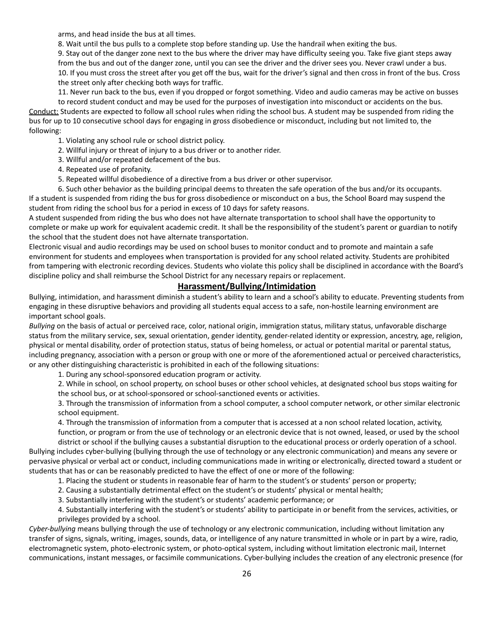arms, and head inside the bus at all times.

8. Wait until the bus pulls to a complete stop before standing up. Use the handrail when exiting the bus.

9. Stay out of the danger zone next to the bus where the driver may have difficulty seeing you. Take five giant steps away from the bus and out of the danger zone, until you can see the driver and the driver sees you. Never crawl under a bus. 10. If you must cross the street after you get off the bus, wait for the driver's signal and then cross in front of the bus. Cross the street only after checking both ways for traffic.

11. Never run back to the bus, even if you dropped or forgot something. Video and audio cameras may be active on busses to record student conduct and may be used for the purposes of investigation into misconduct or accidents on the bus. Conduct: Students are expected to follow all school rules when riding the school bus. A student may be suspended from riding the bus for up to 10 consecutive school days for engaging in gross disobedience or misconduct, including but not limited to, the following:

- 1. Violating any school rule or school district policy.
- 2. Willful injury or threat of injury to a bus driver or to another rider.
- 3. Willful and/or repeated defacement of the bus.
- 4. Repeated use of profanity.
- 5. Repeated willful disobedience of a directive from a bus driver or other supervisor.

6. Such other behavior as the building principal deems to threaten the safe operation of the bus and/or its occupants. If a student is suspended from riding the bus for gross disobedience or misconduct on a bus, the School Board may suspend the student from riding the school bus for a period in excess of 10 days for safety reasons.

A student suspended from riding the bus who does not have alternate transportation to school shall have the opportunity to complete or make up work for equivalent academic credit. It shall be the responsibility of the student's parent or guardian to notify the school that the student does not have alternate transportation.

Electronic visual and audio recordings may be used on school buses to monitor conduct and to promote and maintain a safe environment for students and employees when transportation is provided for any school related activity. Students are prohibited from tampering with electronic recording devices. Students who violate this policy shall be disciplined in accordance with the Board's discipline policy and shall reimburse the School District for any necessary repairs or replacement.

#### **Harassment/Bullying/Intimidation**

Bullying, intimidation, and harassment diminish a student's ability to learn and a school's ability to educate. Preventing students from engaging in these disruptive behaviors and providing all students equal access to a safe, non-hostile learning environment are important school goals.

*Bullying* on the basis of actual or perceived race, color, national origin, immigration status, military status, unfavorable discharge status from the military service, sex, sexual orientation, gender identity, gender-related identity or expression, ancestry, age, religion, physical or mental disability, order of protection status, status of being homeless, or actual or potential marital or parental status, including pregnancy, association with a person or group with one or more of the aforementioned actual or perceived characteristics, or any other distinguishing characteristic is prohibited in each of the following situations:

1. During any school-sponsored education program or activity.

2. While in school, on school property, on school buses or other school vehicles, at designated school bus stops waiting for the school bus, or at school-sponsored or school-sanctioned events or activities.

3. Through the transmission of information from a school computer, a school computer network, or other similar electronic school equipment.

4. Through the transmission of information from a computer that is accessed at a non school related location, activity, function, or program or from the use of technology or an electronic device that is not owned, leased, or used by the school

district or school if the bullying causes a substantial disruption to the educational process or orderly operation of a school. Bullying includes cyber-bullying (bullying through the use of technology or any electronic communication) and means any severe or pervasive physical or verbal act or conduct, including communications made in writing or electronically, directed toward a student or students that has or can be reasonably predicted to have the effect of one or more of the following:

1. Placing the student or students in reasonable fear of harm to the student's or students' person or property;

2. Causing a substantially detrimental effect on the student's or students' physical or mental health;

3. Substantially interfering with the student's or students' academic performance; or

4. Substantially interfering with the student's or students' ability to participate in or benefit from the services, activities, or privileges provided by a school.

*Cyber-bullying* means bullying through the use of technology or any electronic communication, including without limitation any transfer of signs, signals, writing, images, sounds, data, or intelligence of any nature transmitted in whole or in part by a wire, radio, electromagnetic system, photo-electronic system, or photo-optical system, including without limitation electronic mail, Internet communications, instant messages, or facsimile communications. Cyber-bullying includes the creation of any electronic presence (for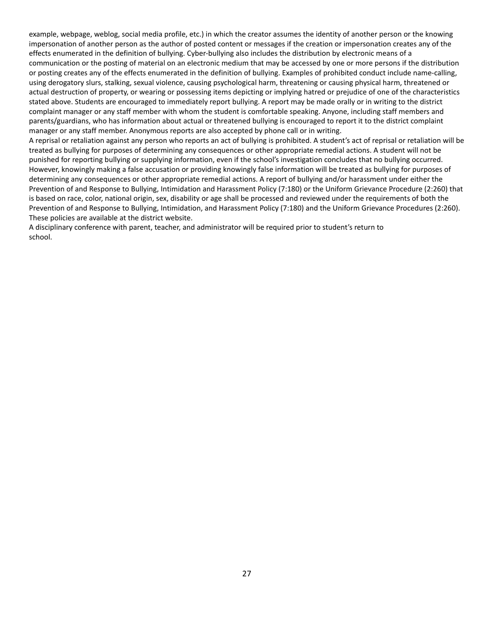example, webpage, weblog, social media profile, etc.) in which the creator assumes the identity of another person or the knowing impersonation of another person as the author of posted content or messages if the creation or impersonation creates any of the effects enumerated in the definition of bullying. Cyber-bullying also includes the distribution by electronic means of a communication or the posting of material on an electronic medium that may be accessed by one or more persons if the distribution or posting creates any of the effects enumerated in the definition of bullying. Examples of prohibited conduct include name-calling, using derogatory slurs, stalking, sexual violence, causing psychological harm, threatening or causing physical harm, threatened or actual destruction of property, or wearing or possessing items depicting or implying hatred or prejudice of one of the characteristics stated above. Students are encouraged to immediately report bullying. A report may be made orally or in writing to the district complaint manager or any staff member with whom the student is comfortable speaking. Anyone, including staff members and parents/guardians, who has information about actual or threatened bullying is encouraged to report it to the district complaint manager or any staff member. Anonymous reports are also accepted by phone call or in writing.

A reprisal or retaliation against any person who reports an act of bullying is prohibited. A student's act of reprisal or retaliation will be treated as bullying for purposes of determining any consequences or other appropriate remedial actions. A student will not be punished for reporting bullying or supplying information, even if the school's investigation concludes that no bullying occurred. However, knowingly making a false accusation or providing knowingly false information will be treated as bullying for purposes of determining any consequences or other appropriate remedial actions. A report of bullying and/or harassment under either the Prevention of and Response to Bullying, Intimidation and Harassment Policy (7:180) or the Uniform Grievance Procedure (2:260) that is based on race, color, national origin, sex, disability or age shall be processed and reviewed under the requirements of both the Prevention of and Response to Bullying, Intimidation, and Harassment Policy (7:180) and the Uniform Grievance Procedures (2:260). These policies are available at the district website.

A disciplinary conference with parent, teacher, and administrator will be required prior to student's return to school.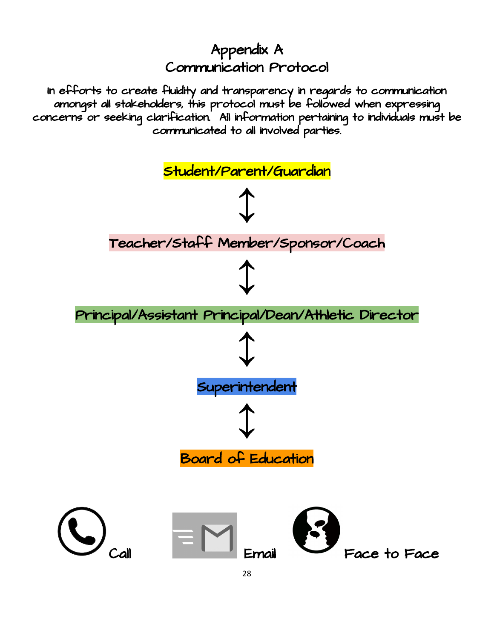### Appendix A Communication Protocol

In efforts to create fluidity and transparency in regards to communication amongst all stakeholders, this protocol must be followed when expressing concerns or seeking clarification. All information pertaining to individuals must be communicated to all involved parties.